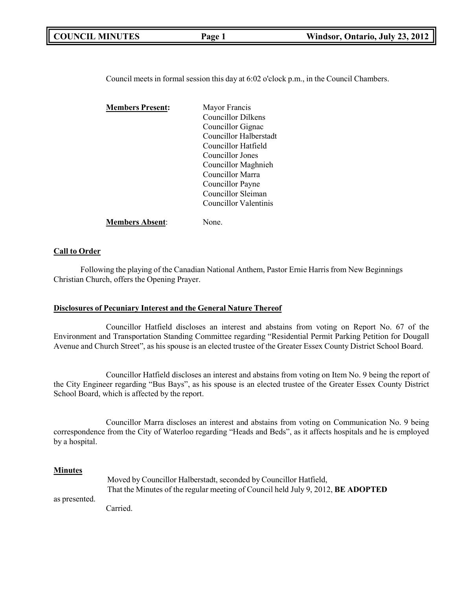| <b>COUNCIL MINUTES</b> | Page 1 | Windsor, Ontario, July 23, 2012 |
|------------------------|--------|---------------------------------|
|                        |        |                                 |

Council meets in formal session this day at 6:02 o'clock p.m., in the Council Chambers.

| <b>Members Present:</b> | Mayor Francis          |
|-------------------------|------------------------|
|                         | Councillor Dilkens     |
|                         | Councillor Gignac      |
|                         | Councillor Halberstadt |
|                         | Councillor Hatfield    |
|                         | Councillor Jones       |
|                         | Councillor Maghnieh    |
|                         | Councillor Marra       |
|                         | Councillor Payne       |
|                         | Councillor Sleiman     |
|                         | Councillor Valentinis  |
| <b>Members Absent:</b>  | None.                  |

### **Call to Order**

Following the playing of the Canadian National Anthem, Pastor Ernie Harris from New Beginnings Christian Church, offers the Opening Prayer.

### **Disclosures of Pecuniary Interest and the General Nature Thereof**

Councillor Hatfield discloses an interest and abstains from voting on Report No. 67 of the Environment and Transportation Standing Committee regarding "Residential Permit Parking Petition for Dougall Avenue and Church Street", as his spouse is an elected trustee of the Greater Essex County District School Board.

Councillor Hatfield discloses an interest and abstains from voting on Item No. 9 being the report of the City Engineer regarding "Bus Bays", as his spouse is an elected trustee of the Greater Essex County District School Board, which is affected by the report.

Councillor Marra discloses an interest and abstains from voting on Communication No. 9 being correspondence from the City of Waterloo regarding "Heads and Beds", as it affects hospitals and he is employed by a hospital.

### **Minutes**

|               | Moved by Councillor Halberstadt, seconded by Councillor Hatfield,                       |
|---------------|-----------------------------------------------------------------------------------------|
|               | That the Minutes of the regular meeting of Council held July 9, 2012, <b>BE ADOPTED</b> |
| as presented. |                                                                                         |
|               | Carried.                                                                                |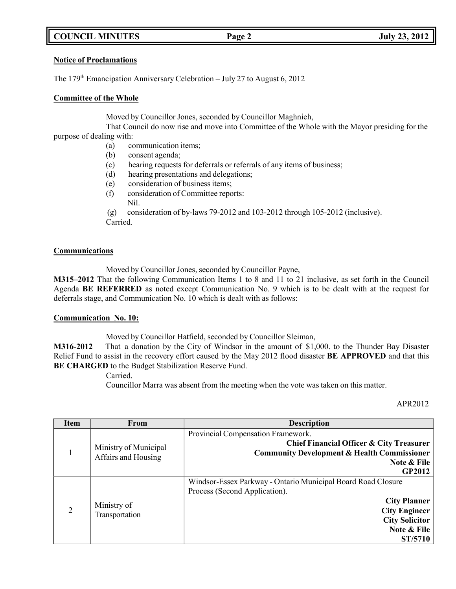# **COUNCIL MINUTES Page 2 July 23, 2012**

## **Notice of Proclamations**

The  $179<sup>th</sup> Emancipation Anniversary Celebration – July 27 to August 6, 2012$ 

## **Committee of the Whole**

Moved by Councillor Jones, seconded by Councillor Maghnieh,

That Council do now rise and move into Committee of the Whole with the Mayor presiding for the purpose of dealing with:

- (a) communication items;
- (b) consent agenda;
- (c) hearing requests for deferrals or referrals of any items of business;
- (d) hearing presentations and delegations;
- (e) consideration of business items;
- (f) consideration of Committee reports:
	- Nil.

(g) consideration of by-laws 79-2012 and 103-2012 through 105-2012 (inclusive). Carried.

## **Communications**

Moved by Councillor Jones, seconded by Councillor Payne,

**M315–2012** That the following Communication Items 1 to 8 and 11 to 21 inclusive, as set forth in the Council Agenda **BE REFERRED** as noted except Communication No. 9 which is to be dealt with at the request for deferrals stage, and Communication No. 10 which is dealt with as follows:

## **Communication No. 10:**

Moved by Councillor Hatfield, seconded by Councillor Sleiman,

**M316-2012** That a donation by the City of Windsor in the amount of \$1,000. to the Thunder Bay Disaster Relief Fund to assist in the recovery effort caused by the May 2012 flood disaster **BE APPROVED** and that this **BE CHARGED** to the Budget Stabilization Reserve Fund.

Carried.

Councillor Marra was absent from the meeting when the vote was taken on this matter.

### APR2012

| <b>Item</b>    | From                  | <b>Description</b>                                           |
|----------------|-----------------------|--------------------------------------------------------------|
|                |                       | Provincial Compensation Framework.                           |
|                | Ministry of Municipal | Chief Financial Officer & City Treasurer                     |
|                | Affairs and Housing   | <b>Community Development &amp; Health Commissioner</b>       |
|                |                       | Note & File                                                  |
|                |                       | <b>GP2012</b>                                                |
|                |                       | Windsor-Essex Parkway - Ontario Municipal Board Road Closure |
|                |                       | Process (Second Application).                                |
|                | Ministry of           | <b>City Planner</b>                                          |
| $\overline{2}$ | Transportation        | <b>City Engineer</b>                                         |
|                |                       | <b>City Solicitor</b>                                        |
|                |                       | Note & File                                                  |
|                |                       | <b>ST/5710</b>                                               |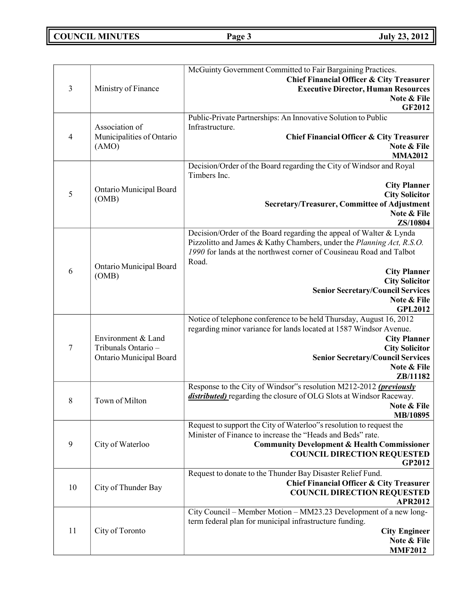# **COUNCIL MINUTES Page 3 July 23, 2012**

| 3              | Ministry of Finance                                                  | McGuinty Government Committed to Fair Bargaining Practices.<br><b>Chief Financial Officer &amp; City Treasurer</b><br><b>Executive Director, Human Resources</b><br>Note & File<br><b>GF2012</b>                                                                                                                                                         |
|----------------|----------------------------------------------------------------------|----------------------------------------------------------------------------------------------------------------------------------------------------------------------------------------------------------------------------------------------------------------------------------------------------------------------------------------------------------|
| $\overline{4}$ | Association of<br>Municipalities of Ontario<br>(AMO)                 | Public-Private Partnerships: An Innovative Solution to Public<br>Infrastructure.<br><b>Chief Financial Officer &amp; City Treasurer</b><br>Note & File<br><b>MMA2012</b>                                                                                                                                                                                 |
| 5              | Ontario Municipal Board<br>(OMB)                                     | Decision/Order of the Board regarding the City of Windsor and Royal<br>Timbers Inc.<br><b>City Planner</b><br><b>City Solicitor</b><br>Secretary/Treasurer, Committee of Adjustment<br>Note & File<br>ZS/10804                                                                                                                                           |
| 6              | Ontario Municipal Board<br>(OMB)                                     | Decision/Order of the Board regarding the appeal of Walter & Lynda<br>Pizzolitto and James & Kathy Chambers, under the Planning Act, R.S.O.<br>1990 for lands at the northwest corner of Cousineau Road and Talbot<br>Road.<br><b>City Planner</b><br><b>City Solicitor</b><br><b>Senior Secretary/Council Services</b><br>Note & File<br><b>GPL2012</b> |
| $\tau$         | Environment & Land<br>Tribunals Ontario -<br>Ontario Municipal Board | Notice of telephone conference to be held Thursday, August 16, 2012<br>regarding minor variance for lands located at 1587 Windsor Avenue.<br><b>City Planner</b><br><b>City Solicitor</b><br><b>Senior Secretary/Council Services</b><br>Note & File<br>ZB/11182                                                                                         |
| 8              | Town of Milton                                                       | Response to the City of Windsor"s resolution M212-2012 (previously<br>distributed) regarding the closure of OLG Slots at Windsor Raceway.<br>Note & File<br>MB/10895                                                                                                                                                                                     |
| 9              | City of Waterloo                                                     | Request to support the City of Waterloo"s resolution to request the<br>Minister of Finance to increase the "Heads and Beds" rate.<br><b>Community Development &amp; Health Commissioner</b><br><b>COUNCIL DIRECTION REQUESTED</b><br>GP2012                                                                                                              |
| 10             | City of Thunder Bay                                                  | Request to donate to the Thunder Bay Disaster Relief Fund.<br><b>Chief Financial Officer &amp; City Treasurer</b><br><b>COUNCIL DIRECTION REQUESTED</b><br><b>APR2012</b>                                                                                                                                                                                |
| 11             | City of Toronto                                                      | City Council – Member Motion – MM23.23 Development of a new long-<br>term federal plan for municipal infrastructure funding.<br><b>City Engineer</b><br>Note & File<br><b>MMF2012</b>                                                                                                                                                                    |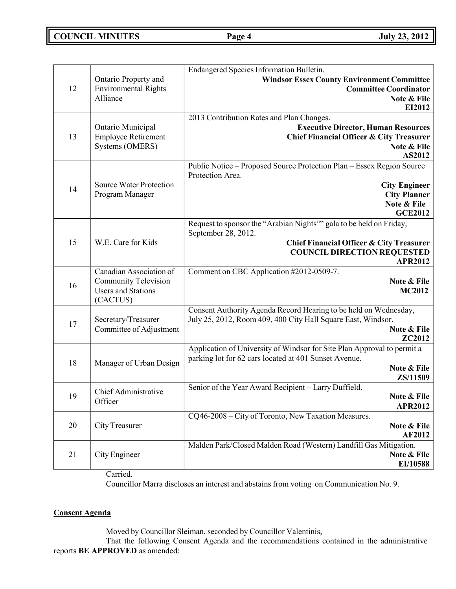# **COUNCIL MINUTES Page 4 July 23, 2012**

|    |                                | Endangered Species Information Bulletin.                                                |
|----|--------------------------------|-----------------------------------------------------------------------------------------|
|    | Ontario Property and           | <b>Windsor Essex County Environment Committee</b>                                       |
| 12 | <b>Environmental Rights</b>    | <b>Committee Coordinator</b>                                                            |
|    | Alliance                       | Note & File                                                                             |
|    |                                | EI2012                                                                                  |
|    | Ontario Municipal              | 2013 Contribution Rates and Plan Changes.<br><b>Executive Director, Human Resources</b> |
| 13 | <b>Employee Retirement</b>     | <b>Chief Financial Officer &amp; City Treasurer</b>                                     |
|    | Systems (OMERS)                | Note & File                                                                             |
|    |                                | AS2012                                                                                  |
|    |                                | Public Notice - Proposed Source Protection Plan - Essex Region Source                   |
|    |                                | Protection Area.                                                                        |
| 14 | <b>Source Water Protection</b> | <b>City Engineer</b>                                                                    |
|    | Program Manager                | <b>City Planner</b>                                                                     |
|    |                                | Note & File                                                                             |
|    |                                | <b>GCE2012</b>                                                                          |
|    |                                | Request to sponsor the "Arabian Nights"" gala to be held on Friday,                     |
|    |                                | September 28, 2012.                                                                     |
| 15 | W.E. Care for Kids             | <b>Chief Financial Officer &amp; City Treasurer</b>                                     |
|    |                                | <b>COUNCIL DIRECTION REQUESTED</b><br><b>APR2012</b>                                    |
|    | Canadian Association of        | Comment on CBC Application #2012-0509-7.                                                |
|    | <b>Community Television</b>    | Note & File                                                                             |
| 16 | <b>Users and Stations</b>      | <b>MC2012</b>                                                                           |
|    | (CACTUS)                       |                                                                                         |
|    |                                | Consent Authority Agenda Record Hearing to be held on Wednesday,                        |
| 17 | Secretary/Treasurer            | July 25, 2012, Room 409, 400 City Hall Square East, Windsor.                            |
|    | Committee of Adjustment        | Note & File                                                                             |
|    |                                | ZC2012                                                                                  |
|    |                                | Application of University of Windsor for Site Plan Approval to permit a                 |
| 18 | Manager of Urban Design        | parking lot for 62 cars located at 401 Sunset Avenue.                                   |
|    |                                | Note & File                                                                             |
|    |                                | ZS/11509                                                                                |
| 19 | Chief Administrative           | Senior of the Year Award Recipient - Larry Duffield.<br>Note & File                     |
|    | Officer                        | <b>APR2012</b>                                                                          |
|    |                                | CQ46-2008 – City of Toronto, New Taxation Measures.                                     |
| 20 | <b>City Treasurer</b>          | Note & File                                                                             |
|    |                                | AF2012                                                                                  |
|    |                                | Malden Park/Closed Malden Road (Western) Landfill Gas Mitigation.                       |
| 21 | City Engineer                  | Note & File                                                                             |
|    |                                | EI/10588                                                                                |

Carried.

Councillor Marra discloses an interest and abstains from voting on Communication No. 9.

## **Consent Agenda**

Moved by Councillor Sleiman, seconded by Councillor Valentinis,

That the following Consent Agenda and the recommendations contained in the administrative reports **BE APPROVED** as amended: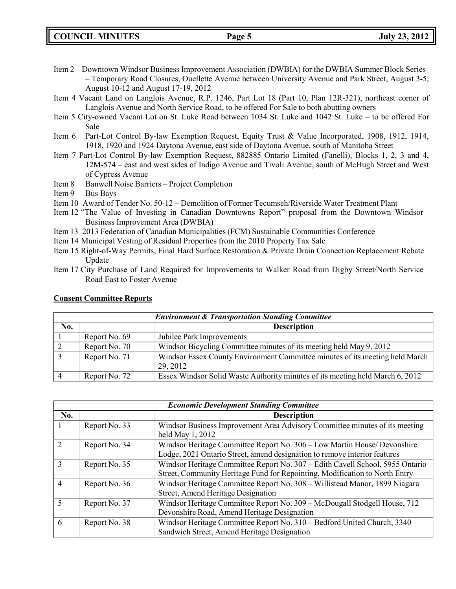- Item 2 Downtown Windsor Business Improvement Association (DWBIA) for the DWBIA Summer Block Series – Temporary Road Closures, Ouellette Avenue between University Avenue and Park Street, August 3-5; August 10-12 and August 17-19, 2012
- Item 4 Vacant Land on Langlois Avenue, R.P. 1246, Part Lot 18 (Part 10, Plan 12R-321), northeast corner of Langlois Avenue and North Service Road, to be offered For Sale to both abutting owners
- Item 5 City-owned Vacant Lot on St. Luke Road between 1034 St. Luke and 1042 St. Luke to be offered For Sale
- Item 6 Part-Lot Control By-law Exemption Request, Equity Trust & Value Incorporated, 1908, 1912, 1914, 1918, 1920 and 1924 Daytona Avenue, east side of Daytona Avenue, south of Manitoba Street
- Item 7 Part-Lot Control By-law Exemption Request, 882885 Ontario Limited (Fanelli), Blocks 1, 2, 3 and 4, 12M-574 – east and west sides of Indigo Avenue and Tivoli Avenue, south of McHugh Street and West of Cypress Avenue
- Item 8 Banwell Noise Barriers Project Completion
- Item 9 Bus Bays
- Item 10 Award of Tender No. 50-12 Demolition of Former Tecumseh/Riverside Water Treatment Plant
- Item 12 "The Value of Investing in Canadian Downtowns Report" proposal from the Downtown Windsor Business Improvement Area (DWBIA)
- Item 13 2013 Federation of Canadian Municipalities (FCM) Sustainable Communities Conference
- Item 14 Municipal Vesting of Residual Properties from the 2010 Property Tax Sale
- Item 15 Right-of-Way Permits, Final Hard Surface Restoration & Private Drain Connection Replacement Rebate Update
- Item 17 City Purchase of Land Required for Improvements to Walker Road from Digby Street/North Service Road East to Foster Avenue

|     | <b>Environment &amp; Transportation Standing Committee</b> |                                                                                          |  |
|-----|------------------------------------------------------------|------------------------------------------------------------------------------------------|--|
| No. |                                                            | <b>Description</b>                                                                       |  |
|     | Report No. 69                                              | Jubilee Park Improvements                                                                |  |
|     | Report No. 70                                              | Windsor Bicycling Committee minutes of its meeting held May 9, 2012                      |  |
|     | Report No. 71                                              | Windsor Essex County Environment Committee minutes of its meeting held March<br>29, 2012 |  |
|     | Report No. 72                                              | Essex Windsor Solid Waste Authority minutes of its meeting held March 6, 2012            |  |

## **Consent Committee Reports**

|                | <b>Economic Development Standing Committee</b> |                                                                                                                                                              |  |
|----------------|------------------------------------------------|--------------------------------------------------------------------------------------------------------------------------------------------------------------|--|
| No.            |                                                | <b>Description</b>                                                                                                                                           |  |
|                | Report No. 33                                  | Windsor Business Improvement Area Advisory Committee minutes of its meeting<br>held May 1, 2012                                                              |  |
|                | Report No. 34                                  | Windsor Heritage Committee Report No. 306 - Low Martin House/ Devonshire<br>Lodge, 2021 Ontario Street, amend designation to remove interior features        |  |
|                | Report No. 35                                  | Windsor Heritage Committee Report No. 307 - Edith Cavell School, 5955 Ontario<br>Street, Community Heritage Fund for Repointing, Modification to North Entry |  |
| $\overline{4}$ | Report No. 36                                  | Windsor Heritage Committee Report No. 308 - Willistead Manor, 1899 Niagara<br>Street, Amend Heritage Designation                                             |  |
| 5              | Report No. 37                                  | Windsor Heritage Committee Report No. 309 - McDougall Stodgell House, 712<br>Devonshire Road, Amend Heritage Designation                                     |  |
| 6              | Report No. 38                                  | Windsor Heritage Committee Report No. 310 - Bedford United Church, 3340<br>Sandwich Street, Amend Heritage Designation                                       |  |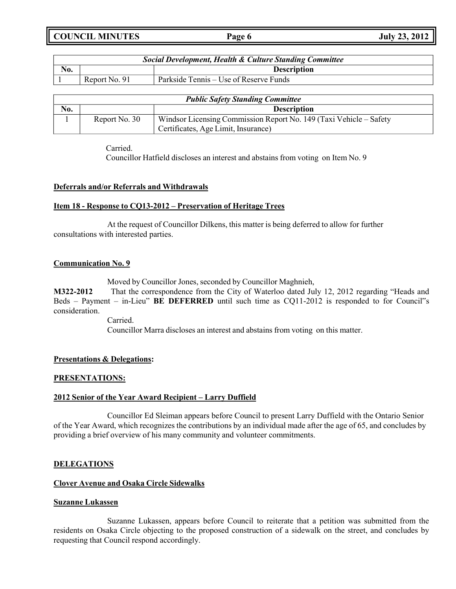**COUNCIL MINUTES Page 6 July 23, 2012**

| <b>Social Development, Health &amp; Culture Standing Committee</b> |               |                                        |
|--------------------------------------------------------------------|---------------|----------------------------------------|
| No.                                                                |               | <b>Description</b>                     |
|                                                                    | Report No. 91 | Parkside Tennis – Use of Reserve Funds |

| <b>Public Safety Standing Committee</b> |               |                                                                    |
|-----------------------------------------|---------------|--------------------------------------------------------------------|
| No.                                     |               | <b>Description</b>                                                 |
|                                         | Report No. 30 | Windsor Licensing Commission Report No. 149 (Taxi Vehicle – Safety |
|                                         |               | Certificates, Age Limit, Insurance)                                |

Carried.

Councillor Hatfield discloses an interest and abstains from voting on Item No. 9

## **Deferrals and/or Referrals and Withdrawals**

## **Item 18 - Response to CQ13-2012 – Preservation of Heritage Trees**

At the request of Councillor Dilkens, this matter is being deferred to allow for further consultations with interested parties.

## **Communication No. 9**

Moved by Councillor Jones, seconded by Councillor Maghnieh,

**M322-2012** That the correspondence from the City of Waterloo dated July 12, 2012 regarding "Heads and Beds – Payment – in-Lieu" **BE DEFERRED** until such time as CQ11-2012 is responded to for Council"s consideration.

Carried.

Councillor Marra discloses an interest and abstains from voting on this matter.

## **Presentations & Delegations:**

### **PRESENTATIONS:**

### **2012 Senior of the Year Award Recipient – Larry Duffield**

Councillor Ed Sleiman appears before Council to present Larry Duffield with the Ontario Senior of the Year Award, which recognizes the contributions by an individual made after the age of 65, and concludes by providing a brief overview of his many community and volunteer commitments.

## **DELEGATIONS**

## **Clover Avenue and Osaka Circle Sidewalks**

### **Suzanne Lukassen**

Suzanne Lukassen, appears before Council to reiterate that a petition was submitted from the residents on Osaka Circle objecting to the proposed construction of a sidewalk on the street, and concludes by requesting that Council respond accordingly.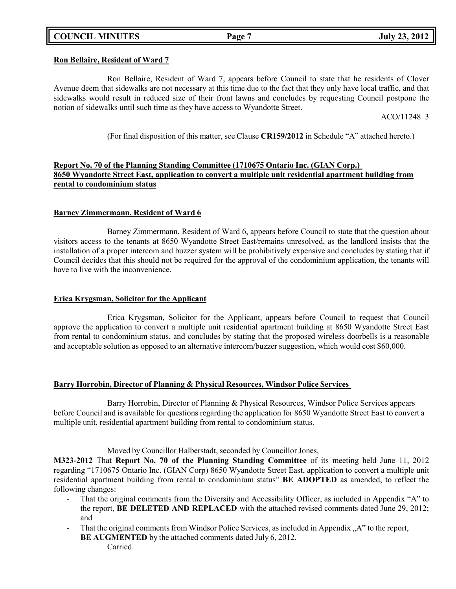# **COUNCIL MINUTES Page 7 July 23, 2012**

# **Ron Bellaire, Resident of Ward 7**

Ron Bellaire, Resident of Ward 7, appears before Council to state that he residents of Clover Avenue deem that sidewalks are not necessary at this time due to the fact that they only have local traffic, and that sidewalks would result in reduced size of their front lawns and concludes by requesting Council postpone the notion of sidewalks until such time as they have access to Wyandotte Street.

ACO/11248 3

(For final disposition of this matter, see Clause **CR159/2012** in Schedule "A" attached hereto.)

# **Report No. 70 of the Planning Standing Committee (1710675 Ontario Inc. (GIAN Corp.) 8650 Wyandotte Street East, application to convert a multiple unit residential apartment building from rental to condominium status**

# **Barney Zimmermann, Resident of Ward 6**

Barney Zimmermann, Resident of Ward 6, appears before Council to state that the question about visitors access to the tenants at 8650 Wyandotte Street East/remains unresolved, as the landlord insists that the installation of a proper intercom and buzzer system will be prohibitively expensive and concludes by stating that if Council decides that this should not be required for the approval of the condominium application, the tenants will have to live with the inconvenience.

# **Erica Krygsman, Solicitor for the Applicant**

Erica Krygsman, Solicitor for the Applicant, appears before Council to request that Council approve the application to convert a multiple unit residential apartment building at 8650 Wyandotte Street East from rental to condominium status, and concludes by stating that the proposed wireless doorbells is a reasonable and acceptable solution as opposed to an alternative intercom/buzzer suggestion, which would cost \$60,000.

# **Barry Horrobin, Director of Planning & Physical Resources, Windsor Police Services**

Barry Horrobin, Director of Planning & Physical Resources, Windsor Police Services appears before Council and is available for questions regarding the application for 8650 Wyandotte Street East to convert a multiple unit, residential apartment building from rental to condominium status.

Moved by Councillor Halberstadt, seconded by Councillor Jones,

**M323-2012** That **Report No. 70 of the Planning Standing Committee** of its meeting held June 11, 2012 regarding "1710675 Ontario Inc. (GIAN Corp) 8650 Wyandotte Street East, application to convert a multiple unit residential apartment building from rental to condominium status" **BE ADOPTED** as amended, to reflect the following changes:

- That the original comments from the Diversity and Accessibility Officer, as included in Appendix "A" to the report, **BE DELETED AND REPLACED** with the attached revised comments dated June 29, 2012; and
- That the original comments from Windsor Police Services, as included in Appendix "A" to the report, **BE AUGMENTED** by the attached comments dated July 6, 2012. Carried.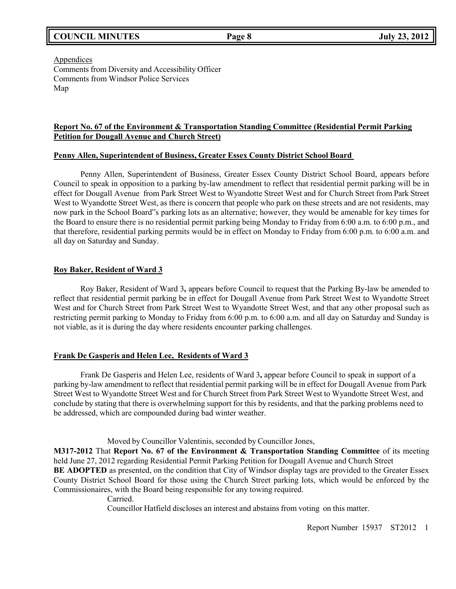# **COUNCIL MINUTES Page 8 July 23, 2012**

Appendices Comments from Diversity and Accessibility Officer Comments from Windsor Police Services Map

## **Report No. 67 of the Environment & Transportation Standing Committee (Residential Permit Parking Petition for Dougall Avenue and Church Street)**

## **Penny Allen, Superintendent of Business, Greater Essex County District School Board**

Penny Allen, Superintendent of Business, Greater Essex County District School Board, appears before Council to speak in opposition to a parking by-law amendment to reflect that residential permit parking will be in effect for Dougall Avenue from Park Street West to Wyandotte Street West and for Church Street from Park Street West to Wyandotte Street West, as there is concern that people who park on these streets and are not residents, may now park in the School Board"s parking lots as an alternative; however, they would be amenable for key times for the Board to ensure there is no residential permit parking being Monday to Friday from 6:00 a.m. to 6:00 p.m., and that therefore, residential parking permits would be in effect on Monday to Friday from 6:00 p.m. to 6:00 a.m. and all day on Saturday and Sunday.

## **Roy Baker, Resident of Ward 3**

Roy Baker, Resident of Ward 3**,** appears before Council to request that the Parking By-law be amended to reflect that residential permit parking be in effect for Dougall Avenue from Park Street West to Wyandotte Street West and for Church Street from Park Street West to Wyandotte Street West, and that any other proposal such as restricting permit parking to Monday to Friday from 6:00 p.m. to 6:00 a.m. and all day on Saturday and Sunday is not viable, as it is during the day where residents encounter parking challenges.

## **Frank De Gasperis and Helen Lee, Residents of Ward 3**

Frank De Gasperis and Helen Lee, residents of Ward 3**,** appear before Council to speak in support of a parking by-law amendment to reflect that residential permit parking will be in effect for Dougall Avenue from Park Street West to Wyandotte Street West and for Church Street from Park Street West to Wyandotte Street West, and conclude by stating that there is overwhelming support for this by residents, and that the parking problems need to be addressed, which are compounded during bad winter weather.

Moved by Councillor Valentinis, seconded by Councillor Jones,

**M317-2012** That **Report No. 67 of the Environment & Transportation Standing Committee** of its meeting held June 27, 2012 regarding Residential Permit Parking Petition for Dougall Avenue and Church Street **BE ADOPTED** as presented, on the condition that City of Windsor display tags are provided to the Greater Essex County District School Board for those using the Church Street parking lots, which would be enforced by the Commissionaires, with the Board being responsible for any towing required.

Carried.

Councillor Hatfield discloses an interest and abstains from voting on this matter.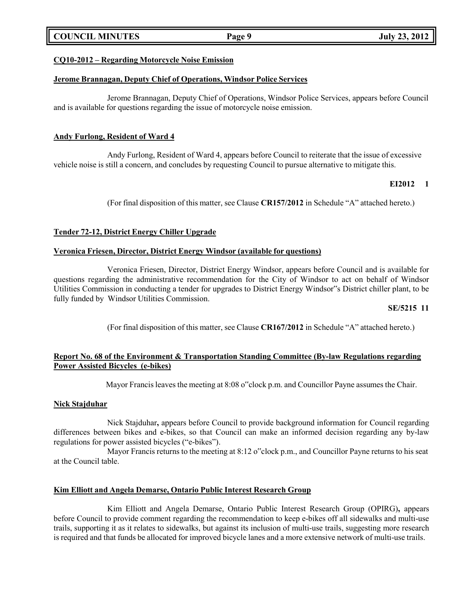# **COUNCIL MINUTES Page 9 July 23, 2012**

## **CQ10-2012 – Regarding Motorcycle Noise Emission**

### **Jerome Brannagan, Deputy Chief of Operations, Windsor Police Services**

Jerome Brannagan, Deputy Chief of Operations, Windsor Police Services, appears before Council and is available for questions regarding the issue of motorcycle noise emission.

## **Andy Furlong, Resident of Ward 4**

Andy Furlong, Resident of Ward 4, appears before Council to reiterate that the issue of excessive vehicle noise is still a concern, and concludes by requesting Council to pursue alternative to mitigate this.

## **EI2012 1**

(For final disposition of this matter, see Clause **CR157/2012** in Schedule "A" attached hereto.)

## **Tender 72-12, District Energy Chiller Upgrade**

### **Veronica Friesen, Director, District Energy Windsor (available for questions)**

Veronica Friesen, Director, District Energy Windsor, appears before Council and is available for questions regarding the administrative recommendation for the City of Windsor to act on behalf of Windsor Utilities Commission in conducting a tender for upgrades to District Energy Windsor"s District chiller plant, to be fully funded by Windsor Utilities Commission.

### **SE/5215 11**

(For final disposition of this matter, see Clause **CR167/2012** in Schedule "A" attached hereto.)

## **Report No. 68 of the Environment & Transportation Standing Committee (By-law Regulations regarding Power Assisted Bicycles (e-bikes)**

Mayor Francis leaves the meeting at 8:08 o"clock p.m. and Councillor Payne assumes the Chair.

## **Nick Stajduhar**

Nick Stajduhar**,** appears before Council to provide background information for Council regarding differences between bikes and e-bikes, so that Council can make an informed decision regarding any by-law regulations for power assisted bicycles ("e-bikes").

Mayor Francis returns to the meeting at 8:12 o"clock p.m., and Councillor Payne returns to his seat at the Council table.

### **Kim Elliott and Angela Demarse, Ontario Public Interest Research Group**

Kim Elliott and Angela Demarse, Ontario Public Interest Research Group (OPIRG)**,** appears before Council to provide comment regarding the recommendation to keep e-bikes off all sidewalks and multi-use trails, supporting it as it relates to sidewalks, but against its inclusion of multi-use trails, suggesting more research is required and that funds be allocated for improved bicycle lanes and a more extensive network of multi-use trails.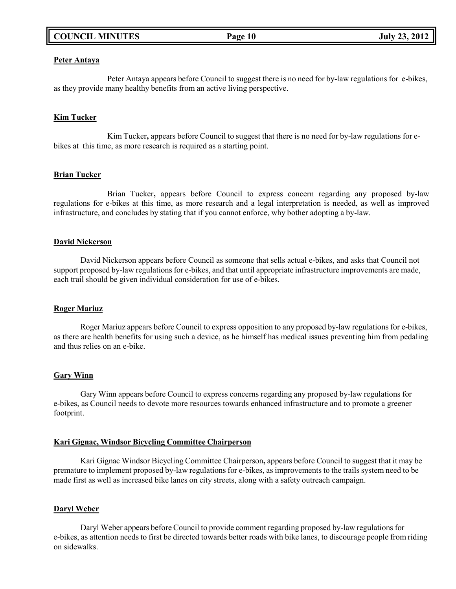# **COUNCIL MINUTES Page 10 July 23, 2012**

### **Peter Antaya**

Peter Antaya appears before Council to suggest there is no need for by-law regulations for e-bikes, as they provide many healthy benefits from an active living perspective.

## **Kim Tucker**

Kim Tucker**,** appears before Council to suggest that there is no need for by-law regulations for ebikes at this time, as more research is required as a starting point.

### **Brian Tucker**

Brian Tucker**,** appears before Council to express concern regarding any proposed by-law regulations for e-bikes at this time, as more research and a legal interpretation is needed, as well as improved infrastructure, and concludes by stating that if you cannot enforce, why bother adopting a by-law.

### **David Nickerson**

David Nickerson appears before Council as someone that sells actual e-bikes, and asks that Council not support proposed by-law regulations for e-bikes, and that until appropriate infrastructure improvements are made, each trail should be given individual consideration for use of e-bikes.

### **Roger Mariuz**

Roger Mariuz appears before Council to express opposition to any proposed by-law regulations for e-bikes, as there are health benefits for using such a device, as he himself has medical issues preventing him from pedaling and thus relies on an e-bike.

### **Gary Winn**

Gary Winn appears before Council to express concerns regarding any proposed by-law regulations for e-bikes, as Council needs to devote more resources towards enhanced infrastructure and to promote a greener footprint.

### **Kari Gignac, Windsor Bicycling Committee Chairperson**

Kari Gignac Windsor Bicycling Committee Chairperson**,** appears before Council to suggest that it may be premature to implement proposed by-law regulations for e-bikes, as improvements to the trails system need to be made first as well as increased bike lanes on city streets, along with a safety outreach campaign.

### **Daryl Weber**

Daryl Weber appears before Council to provide comment regarding proposed by-law regulations for e-bikes, as attention needs to first be directed towards better roads with bike lanes, to discourage people from riding on sidewalks.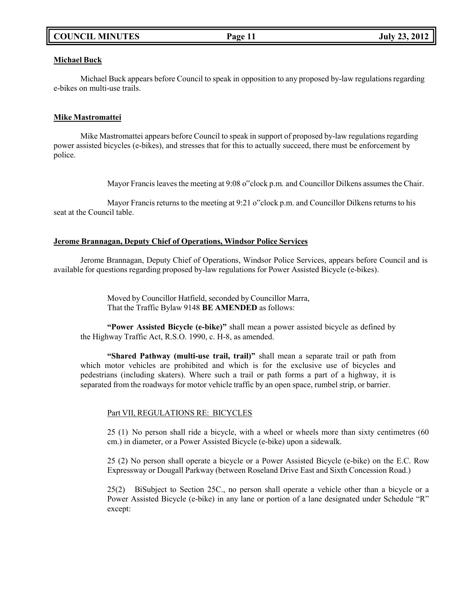# **COUNCIL MINUTES Page 11 July 23, 2012**

## **Michael Buck**

Michael Buck appears before Council to speak in opposition to any proposed by-law regulations regarding e-bikes on multi-use trails.

## **Mike Mastromattei**

Mike Mastromattei appears before Council to speak in support of proposed by-law regulations regarding power assisted bicycles (e-bikes), and stresses that for this to actually succeed, there must be enforcement by police.

Mayor Francis leaves the meeting at 9:08 o"clock p.m. and Councillor Dilkens assumes the Chair.

Mayor Francis returns to the meeting at 9:21 o"clock p.m. and Councillor Dilkens returns to his seat at the Council table.

# **Jerome Brannagan, Deputy Chief of Operations, Windsor Police Services**

Jerome Brannagan, Deputy Chief of Operations, Windsor Police Services, appears before Council and is available for questions regarding proposed by-law regulations for Power Assisted Bicycle (e-bikes).

> Moved by Councillor Hatfield, seconded by Councillor Marra, That the Traffic Bylaw 9148 **BE AMENDED** as follows:

**"Power Assisted Bicycle (e-bike)"** shall mean a power assisted bicycle as defined by the Highway Traffic Act, R.S.O. 1990, c. H-8, as amended.

**"Shared Pathway (multi-use trail, trail)"** shall mean a separate trail or path from which motor vehicles are prohibited and which is for the exclusive use of bicycles and pedestrians (including skaters). Where such a trail or path forms a part of a highway, it is separated from the roadways for motor vehicle traffic by an open space, rumbel strip, or barrier.

# Part VII, REGULATIONS RE: BICYCLES

25 (1) No person shall ride a bicycle, with a wheel or wheels more than sixty centimetres (60 cm.) in diameter, or a Power Assisted Bicycle (e-bike) upon a sidewalk.

25 (2) No person shall operate a bicycle or a Power Assisted Bicycle (e-bike) on the E.C. Row Expressway or Dougall Parkway (between Roseland Drive East and Sixth Concession Road.)

25(2) BiSubject to Section 25C., no person shall operate a vehicle other than a bicycle or a Power Assisted Bicycle (e-bike) in any lane or portion of a lane designated under Schedule "R" except: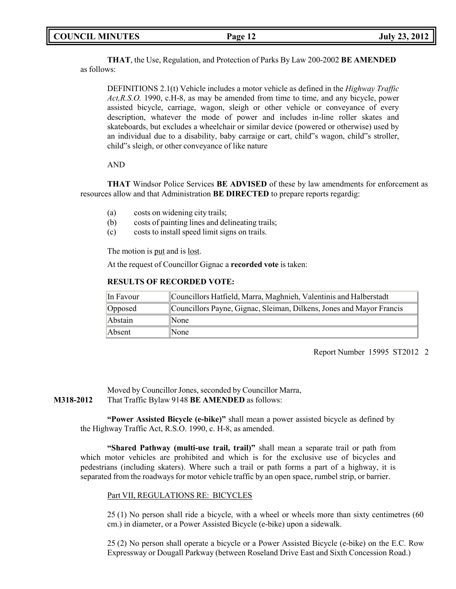**THAT**, the Use, Regulation, and Protection of Parks By Law 200-2002 **BE AMENDED** as follows:

DEFINITIONS 2.1(t) Vehicle includes a motor vehicle as defined in the *Highway Traffic Act,R.S.O.* 1990, c.H-8, as may be amended from time to time, and any bicycle, power assisted bicycle, carriage, wagon, sleigh or other vehicle or conveyance of every description, whatever the mode of power and includes in-line roller skates and skateboards, but excludes a wheelchair or similar device (powered or otherwise) used by an individual due to a disability, baby carraige or cart, child"s wagon, child"s stroller, child"s sleigh, or other conveyance of like nature

## AND

**THAT** Windsor Police Services **BE ADVISED** of these by law amendments for enforcement as resources allow and that Administration **BE DIRECTED** to prepare reports regardig:

- (a) costs on widening city trails;
- (b) costs of painting lines and delineating trails;
- (c) costs to install speed limit signs on trails.

The motion is put and is lost.

At the request of Councillor Gignac a **recorded vote** is taken:

## **RESULTS OF RECORDED VOTE:**

| In Favour      | Councillors Hatfield, Marra, Maghnieh, Valentinis and Halberstadt    |
|----------------|----------------------------------------------------------------------|
| Opposed        | Councillors Payne, Gignac, Sleiman, Dilkens, Jones and Mayor Francis |
| <b>Abstain</b> | None                                                                 |
| Absent         | None                                                                 |

Report Number 15995 ST2012 2

Moved by Councillor Jones, seconded by Councillor Marra, **M318-2012** That Traffic Bylaw 9148 **BE AMENDED** as follows:

> **"Power Assisted Bicycle (e-bike)"** shall mean a power assisted bicycle as defined by the Highway Traffic Act, R.S.O. 1990, c. H-8, as amended.

> **"Shared Pathway (multi-use trail, trail)"** shall mean a separate trail or path from which motor vehicles are prohibited and which is for the exclusive use of bicycles and pedestrians (including skaters). Where such a trail or path forms a part of a highway, it is separated from the roadways for motor vehicle traffic by an open space, rumbel strip, or barrier.

## Part VII, REGULATIONS RE: BICYCLES

25 (1) No person shall ride a bicycle, with a wheel or wheels more than sixty centimetres (60 cm.) in diameter, or a Power Assisted Bicycle (e-bike) upon a sidewalk.

25 (2) No person shall operate a bicycle or a Power Assisted Bicycle (e-bike) on the E.C. Row Expressway or Dougall Parkway (between Roseland Drive East and Sixth Concession Road.)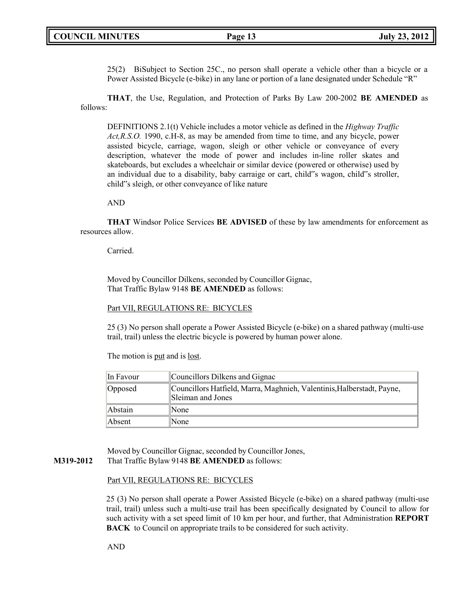25(2) BiSubject to Section 25C., no person shall operate a vehicle other than a bicycle or a Power Assisted Bicycle (e-bike) in any lane or portion of a lane designated under Schedule "R"

**THAT**, the Use, Regulation, and Protection of Parks By Law 200-2002 **BE AMENDED** as follows:

DEFINITIONS 2.1(t) Vehicle includes a motor vehicle as defined in the *Highway Traffic Act,R.S.O.* 1990, c.H-8, as may be amended from time to time, and any bicycle, power assisted bicycle, carriage, wagon, sleigh or other vehicle or conveyance of every description, whatever the mode of power and includes in-line roller skates and skateboards, but excludes a wheelchair or similar device (powered or otherwise) used by an individual due to a disability, baby carraige or cart, child"s wagon, child"s stroller, child"s sleigh, or other conveyance of like nature

AND

**THAT** Windsor Police Services **BE ADVISED** of these by law amendments for enforcement as resources allow.

Carried.

Moved by Councillor Dilkens, seconded by Councillor Gignac, That Traffic Bylaw 9148 **BE AMENDED** as follows:

### Part VII, REGULATIONS RE: BICYCLES

25 (3) No person shall operate a Power Assisted Bicycle (e-bike) on a shared pathway (multi-use trail, trail) unless the electric bicycle is powered by human power alone.

The motion is put and is <u>lost</u>.

| In Favour | Councillors Dilkens and Gignac                                                              |
|-----------|---------------------------------------------------------------------------------------------|
| Opposed   | Councillors Hatfield, Marra, Maghnieh, Valentinis, Halberstadt, Payne,<br>Sleiman and Jones |
| Abstain   | None                                                                                        |
| Absent    | None                                                                                        |

Moved by Councillor Gignac, seconded by Councillor Jones, **M319-2012** That Traffic Bylaw 9148 **BE AMENDED** as follows:

### Part VII, REGULATIONS RE: BICYCLES

25 (3) No person shall operate a Power Assisted Bicycle (e-bike) on a shared pathway (multi-use trail, trail) unless such a multi-use trail has been specifically designated by Council to allow for such activity with a set speed limit of 10 km per hour, and further, that Administration **REPORT BACK** to Council on appropriate trails to be considered for such activity.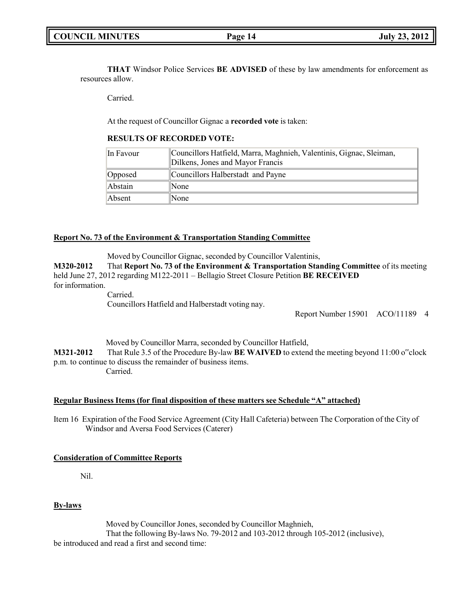**THAT** Windsor Police Services **BE ADVISED** of these by law amendments for enforcement as resources allow.

Carried.

At the request of Councillor Gignac a **recorded vote** is taken:

## **RESULTS OF RECORDED VOTE:**

| In Favour | Councillors Hatfield, Marra, Maghnieh, Valentinis, Gignac, Sleiman,<br>Dilkens, Jones and Mayor Francis |
|-----------|---------------------------------------------------------------------------------------------------------|
| Opposed   | Councillors Halberstadt and Payne                                                                       |
| Abstain   | None                                                                                                    |
| Absent    | None                                                                                                    |

## **Report No. 73 of the Environment & Transportation Standing Committee**

Moved by Councillor Gignac, seconded by Councillor Valentinis,

**M320-2012** That **Report No. 73 of the Environment & Transportation Standing Committee** of its meeting held June 27, 2012 regarding M122-2011 – Bellagio Street Closure Petition **BE RECEIVED** for information.

Carried. Councillors Hatfield and Halberstadt voting nay.

Report Number 15901 ACO/11189 4

Moved by Councillor Marra, seconded by Councillor Hatfield, **M321-2012** That Rule 3.5 of the Procedure By-law **BE WAIVED** to extend the meeting beyond 11:00 o"clock p.m. to continue to discuss the remainder of business items. Carried.

## **Regular Business Items (for final disposition of these matters see Schedule "A" attached)**

Item 16 Expiration of the Food Service Agreement (City Hall Cafeteria) between The Corporation of the City of Windsor and Aversa Food Services (Caterer)

## **Consideration of Committee Reports**

Nil.

## **By-laws**

Moved by Councillor Jones, seconded by Councillor Maghnieh,

That the following By-laws No. 79-2012 and 103-2012 through 105-2012 (inclusive), be introduced and read a first and second time: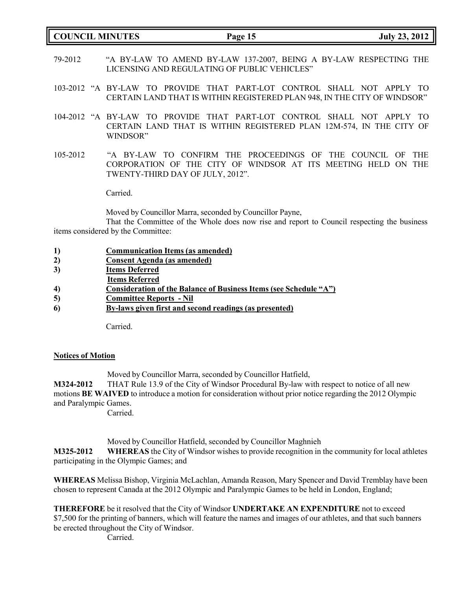| <b>COUNCIL MINUTES</b> |                                                                                                                   | Page 15 | <b>July 23, 2012</b> |  |
|------------------------|-------------------------------------------------------------------------------------------------------------------|---------|----------------------|--|
| 79-2012                | "A BY-LAW TO AMEND BY-LAW 137-2007, BEING A BY-LAW RESPECTING THE<br>LICENSING AND REGULATING OF PUBLIC VEHICLES" |         |                      |  |

- 103-2012 "A BY-LAW TO PROVIDE THAT PART-LOT CONTROL SHALL NOT APPLY TO CERTAIN LAND THAT IS WITHIN REGISTERED PLAN 948, IN THE CITY OF WINDSOR"
- 104-2012 "A BY-LAW TO PROVIDE THAT PART-LOT CONTROL SHALL NOT APPLY TO CERTAIN LAND THAT IS WITHIN REGISTERED PLAN 12M-574, IN THE CITY OF WINDSOR"
- 105-2012 "A BY-LAW TO CONFIRM THE PROCEEDINGS OF THE COUNCIL OF THE CORPORATION OF THE CITY OF WINDSOR AT ITS MEETING HELD ON THE TWENTY-THIRD DAY OF JULY, 2012".

Carried.

Moved by Councillor Marra, seconded by Councillor Payne,

That the Committee of the Whole does now rise and report to Council respecting the business items considered by the Committee:

|--|

- **2) Consent Agenda (as amended)**
- **3) Items Deferred**
- **Items Referred**
- **4) Consideration of the Balance of Business Items (see Schedule "A")**
- **5) Committee Reports - Nil**
- **6) By-laws given first and second readings (as presented)**

Carried.

## **Notices of Motion**

Moved by Councillor Marra, seconded by Councillor Hatfield,

**M324-2012** THAT Rule 13.9 of the City of Windsor Procedural By-law with respect to notice of all new motions **BE WAIVED** to introduce a motion for consideration without prior notice regarding the 2012 Olympic and Paralympic Games.

Carried.

Moved by Councillor Hatfield, seconded by Councillor Maghnieh

**M325-2012 WHEREAS** the City of Windsor wishes to provide recognition in the community for local athletes participating in the Olympic Games; and

**WHEREAS** Melissa Bishop, Virginia McLachlan, Amanda Reason, Mary Spencer and David Tremblay have been chosen to represent Canada at the 2012 Olympic and Paralympic Games to be held in London, England;

**THEREFORE** be it resolved that the City of Windsor **UNDERTAKE AN EXPENDITURE** not to exceed \$7,500 for the printing of banners, which will feature the names and images of our athletes, and that such banners be erected throughout the City of Windsor.

Carried.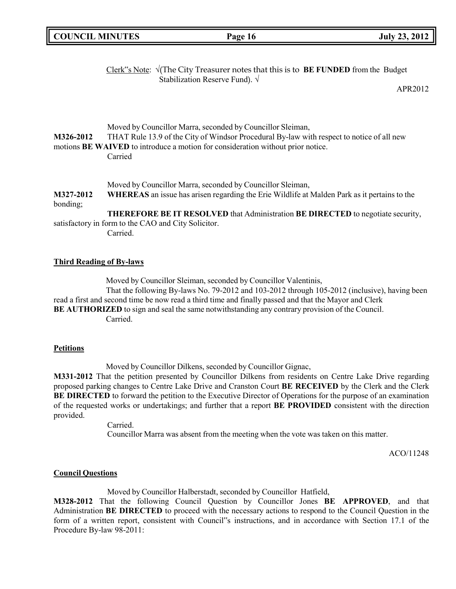| <b>COUNCIL MINUTES</b>          |                                                                 | Page 16                                                                                                                                                                                                                                              | <b>July 23, 2012</b> |
|---------------------------------|-----------------------------------------------------------------|------------------------------------------------------------------------------------------------------------------------------------------------------------------------------------------------------------------------------------------------------|----------------------|
|                                 |                                                                 | Clerk"s Note: $\sqrt{(The City Treasury notes that this is to BE FUNDED from the Budget)}$<br>Stabilization Reserve Fund). $\sqrt{}$                                                                                                                 | APR2012              |
| M326-2012                       | Carried                                                         | Moved by Councillor Marra, seconded by Councillor Sleiman,<br>THAT Rule 13.9 of the City of Windsor Procedural By-law with respect to notice of all new<br>motions BE WAIVED to introduce a motion for consideration without prior notice.           |                      |
| M327-2012<br>bonding;           | satisfactory in form to the CAO and City Solicitor.<br>Carried. | Moved by Councillor Marra, seconded by Councillor Sleiman,<br><b>WHEREAS</b> an issue has arisen regarding the Erie Wildlife at Malden Park as it pertains to the<br>THEREFORE BE IT RESOLVED that Administration BE DIRECTED to negotiate security, |                      |
| <b>Third Reading of By-laws</b> |                                                                 | Moved by Councillor Sleiman, seconded by Councillor Valentinis,                                                                                                                                                                                      |                      |

That the following By-laws No. 79-2012 and 103-2012 through 105-2012 (inclusive), having been read a first and second time be now read a third time and finally passed and that the Mayor and Clerk **BE AUTHORIZED** to sign and seal the same notwithstanding any contrary provision of the Council.

Carried.

## **Petitions**

Moved by Councillor Dilkens, seconded by Councillor Gignac,

**M331-2012** That the petition presented by Councillor Dilkens from residents on Centre Lake Drive regarding proposed parking changes to Centre Lake Drive and Cranston Court **BE RECEIVED** by the Clerk and the Clerk **BE DIRECTED** to forward the petition to the Executive Director of Operations for the purpose of an examination of the requested works or undertakings; and further that a report **BE PROVIDED** consistent with the direction provided.

> Carried. Councillor Marra was absent from the meeting when the vote was taken on this matter.

> > ACO/11248

## **Council Questions**

Moved by Councillor Halberstadt, seconded by Councillor Hatfield,

**M328-2012** That the following Council Question by Councillor Jones **BE APPROVED**, and that Administration **BE DIRECTED** to proceed with the necessary actions to respond to the Council Question in the form of a written report, consistent with Council"s instructions, and in accordance with Section 17.1 of the Procedure By-law 98-2011: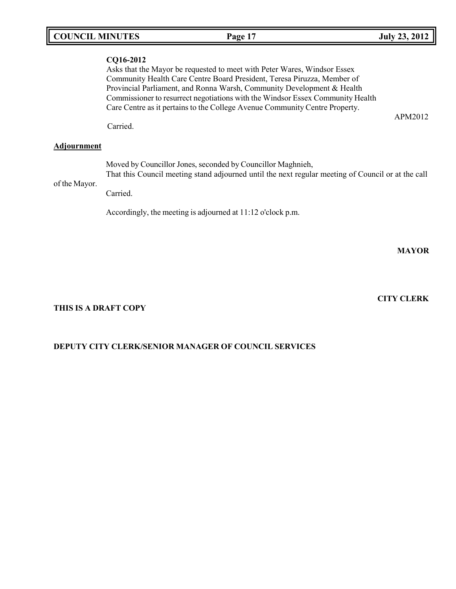| <b>COUNCIL MINUTES</b> | Page 17                                                                                                                                                                                                                                                                                                                                                                                        | <b>July 23, 2012</b> |
|------------------------|------------------------------------------------------------------------------------------------------------------------------------------------------------------------------------------------------------------------------------------------------------------------------------------------------------------------------------------------------------------------------------------------|----------------------|
| CQ16-2012              | Asks that the Mayor be requested to meet with Peter Wares, Windsor Essex<br>Community Health Care Centre Board President, Teresa Piruzza, Member of<br>Provincial Parliament, and Ronna Warsh, Community Development & Health<br>Commissioner to resurrect negotiations with the Windsor Essex Community Health<br>Care Centre as it pertains to the College Avenue Community Centre Property. |                      |
|                        |                                                                                                                                                                                                                                                                                                                                                                                                | APM2012              |

Carried.

# **Adjournment**

of the Mayor. Moved by Councillor Jones, seconded by Councillor Maghnieh, That this Council meeting stand adjourned until the next regular meeting of Council or at the call Carried.

Accordingly, the meeting is adjourned at 11:12 o'clock p.m.

**MAYOR**

# **CITY CLERK**

# **THIS IS A DRAFT COPY**

# **DEPUTY CITY CLERK/SENIOR MANAGER OF COUNCIL SERVICES**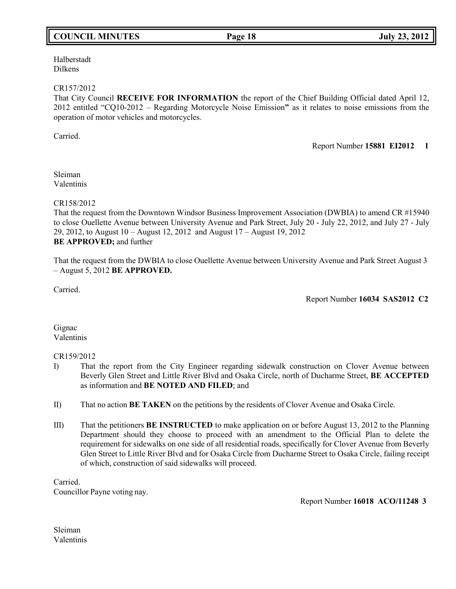# **COUNCIL MINUTES Page 18 July 23, 2012**

Halberstadt Dilkens

## CR157/2012

That City Council **RECEIVE FOR INFORMATION** the report of the Chief Building Official dated April 12, 2012 entitled "CQ10-2012 – Regarding Motorcycle Noise Emission**"** as it relates to noise emissions from the operation of motor vehicles and motorcycles.

Carried.

Report Number **15881 EI2012 1**

Sleiman Valentinis

CR158/2012

That the request from the Downtown Windsor Business Improvement Association (DWBIA) to amend CR #15940 to close Ouellette Avenue between University Avenue and Park Street, July 20 - July 22, 2012, and July 27 - July 29, 2012, to August 10 – August 12, 2012 and August 17 – August 19, 2012 **BE APPROVED;** and further

That the request from the DWBIA to close Ouellette Avenue between University Avenue and Park Street August 3 – August 5, 2012 **BE APPROVED.**

Carried.

Report Number **16034 SAS2012 C2**

Gignac Valentinis

CR159/2012

- I) That the report from the City Engineer regarding sidewalk construction on Clover Avenue between Beverly Glen Street and Little River Blvd and Osaka Circle, north of Ducharme Street, **BE ACCEPTED** as information and **BE NOTED AND FILED**; and
- II) That no action **BE TAKEN** on the petitions by the residents of Clover Avenue and Osaka Circle.
- III) That the petitioners **BE INSTRUCTED** to make application on or before August 13, 2012 to the Planning Department should they choose to proceed with an amendment to the Official Plan to delete the requirement for sidewalks on one side of all residential roads, specifically for Clover Avenue from Beverly Glen Street to Little River Blvd and for Osaka Circle from Ducharme Street to Osaka Circle, failing receipt of which, construction of said sidewalks will proceed.

Carried. Councillor Payne voting nay.

Report Number **16018 ACO/11248 3**

Sleiman Valentinis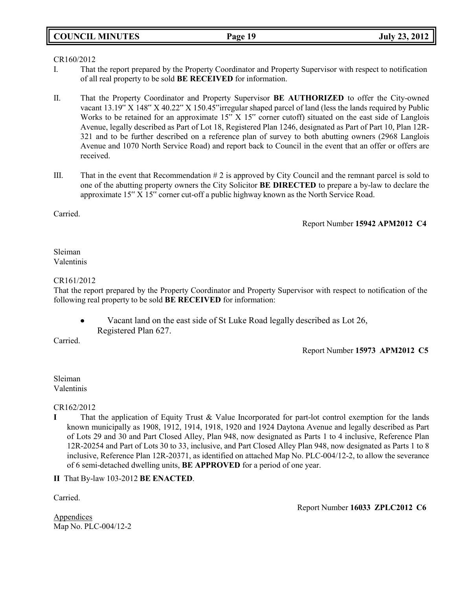# **COUNCIL MINUTES Page 19 July 23, 2012**

## CR160/2012

- I. That the report prepared by the Property Coordinator and Property Supervisor with respect to notification of all real property to be sold **BE RECEIVED** for information.
- II. That the Property Coordinator and Property Supervisor **BE AUTHORIZED** to offer the City-owned vacant 13.19" X 148" X 40.22" X 150.45"irregular shaped parcel of land (less the lands required by Public Works to be retained for an approximate 15" X 15" corner cutoff) situated on the east side of Langlois Avenue, legally described as Part of Lot 18, Registered Plan 1246, designated as Part of Part 10, Plan 12R-321 and to be further described on a reference plan of survey to both abutting owners (2968 Langlois Avenue and 1070 North Service Road) and report back to Council in the event that an offer or offers are received.
- III. That in the event that Recommendation  $\# 2$  is approved by City Council and the remnant parcel is sold to one of the abutting property owners the City Solicitor **BE DIRECTED** to prepare a by-law to declare the approximate 15" X 15" corner cut-off a public highway known as the North Service Road.

Carried.

Report Number **15942 APM2012 C4**

Sleiman Valentinis

## CR161/2012

That the report prepared by the Property Coordinator and Property Supervisor with respect to notification of the following real property to be sold **BE RECEIVED** for information:

Vacant land on the east side of St Luke Road legally described as Lot 26,  $\bullet$ Registered Plan 627.

Carried.

Report Number **15973 APM2012 C5**

Sleiman Valentinis

CR162/2012

**I** That the application of Equity Trust & Value Incorporated for part-lot control exemption for the lands known municipally as 1908, 1912, 1914, 1918, 1920 and 1924 Daytona Avenue and legally described as Part of Lots 29 and 30 and Part Closed Alley, Plan 948, now designated as Parts 1 to 4 inclusive, Reference Plan 12R-20254 and Part of Lots 30 to 33, inclusive, and Part Closed Alley Plan 948, now designated as Parts 1 to 8 inclusive, Reference Plan 12R-20371, as identified on attached Map No. PLC-004/12-2, to allow the severance of 6 semi-detached dwelling units, **BE APPROVED** for a period of one year.

**II** That By-law 103-2012 **BE ENACTED**.

Carried.

Report Number **16033 ZPLC2012 C6**

Appendices Map No. PLC-004/12-2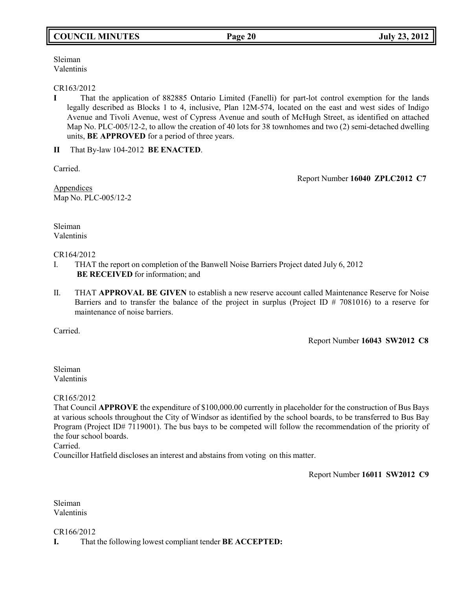# **COUNCIL MINUTES Page 20 July 23, 2012**

Sleiman Valentinis

# CR163/2012

**I** That the application of 882885 Ontario Limited (Fanelli) for part-lot control exemption for the lands legally described as Blocks 1 to 4, inclusive, Plan 12M-574, located on the east and west sides of Indigo Avenue and Tivoli Avenue, west of Cypress Avenue and south of McHugh Street, as identified on attached Map No. PLC-005/12-2, to allow the creation of 40 lots for 38 townhomes and two (2) semi-detached dwelling units, **BE APPROVED** for a period of three years.

**II** That By-law 104-2012 **BE ENACTED**.

Carried.

Report Number **16040 ZPLC2012 C7**

Appendices Map No. PLC-005/12-2

Sleiman Valentinis

## CR164/2012

- I. THAT the report on completion of the Banwell Noise Barriers Project dated July 6, 2012 **BE RECEIVED** for information; and
- II. THAT **APPROVAL BE GIVEN** to establish a new reserve account called Maintenance Reserve for Noise Barriers and to transfer the balance of the project in surplus (Project ID # 7081016) to a reserve for maintenance of noise barriers.

Carried.

Report Number **16043 SW2012 C8**

Sleiman Valentinis

CR165/2012

That Council **APPROVE** the expenditure of \$100,000.00 currently in placeholder for the construction of Bus Bays at various schools throughout the City of Windsor as identified by the school boards, to be transferred to Bus Bay Program (Project ID# 7119001). The bus bays to be competed will follow the recommendation of the priority of the four school boards.

Carried.

Councillor Hatfield discloses an interest and abstains from voting on this matter.

Report Number **16011 SW2012 C9**

Sleiman Valentinis

CR166/2012 **I.** That the following lowest compliant tender **BE ACCEPTED:**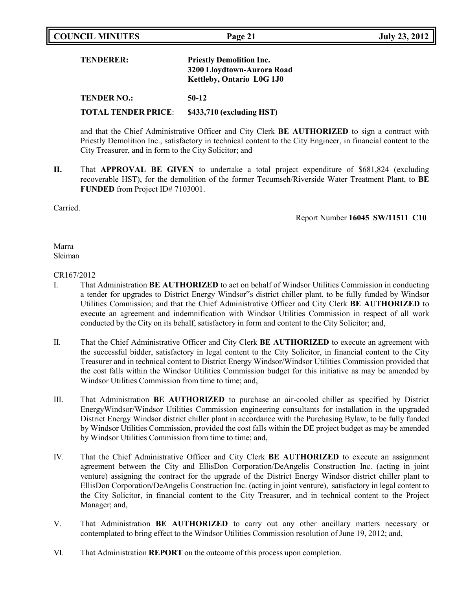| <b>COUNCIL MINUTES</b> | Page 21 | <b>July 23, 2012</b> |
|------------------------|---------|----------------------|

| <b>TENDERER:</b>   | <b>Priestly Demolition Inc.</b><br>3200 Lloydtown-Aurora Road<br><b>Kettleby, Ontario L0G 1J0</b> |
|--------------------|---------------------------------------------------------------------------------------------------|
| <b>TENDER NO.:</b> | $50-12$                                                                                           |

**TOTAL TENDER PRICE**: **\$433,710 (excluding HST)**

and that the Chief Administrative Officer and City Clerk **BE AUTHORIZED** to sign a contract with Priestly Demolition Inc., satisfactory in technical content to the City Engineer, in financial content to the City Treasurer, and in form to the City Solicitor; and

**II.** That **APPROVAL BE GIVEN** to undertake a total project expenditure of \$681,824 (excluding recoverable HST), for the demolition of the former Tecumseh/Riverside Water Treatment Plant, to **BE FUNDED** from Project ID# 7103001.

Carried.

Report Number **16045 SW/11511 C10**

## Marra Sleiman

## CR167/2012

- I. That Administration **BE AUTHORIZED** to act on behalf of Windsor Utilities Commission in conducting a tender for upgrades to District Energy Windsor"s district chiller plant, to be fully funded by Windsor Utilities Commission; and that the Chief Administrative Officer and City Clerk **BE AUTHORIZED** to execute an agreement and indemnification with Windsor Utilities Commission in respect of all work conducted by the City on its behalf, satisfactory in form and content to the City Solicitor; and,
- II. That the Chief Administrative Officer and City Clerk **BE AUTHORIZED** to execute an agreement with the successful bidder, satisfactory in legal content to the City Solicitor, in financial content to the City Treasurer and in technical content to District Energy Windsor/Windsor Utilities Commission provided that the cost falls within the Windsor Utilities Commission budget for this initiative as may be amended by Windsor Utilities Commission from time to time; and,
- III. That Administration **BE AUTHORIZED** to purchase an air-cooled chiller as specified by District EnergyWindsor/Windsor Utilities Commission engineering consultants for installation in the upgraded District Energy Windsor district chiller plant in accordance with the Purchasing Bylaw, to be fully funded by Windsor Utilities Commission, provided the cost falls within the DE project budget as may be amended by Windsor Utilities Commission from time to time; and,
- IV. That the Chief Administrative Officer and City Clerk **BE AUTHORIZED** to execute an assignment agreement between the City and EllisDon Corporation/DeAngelis Construction Inc. (acting in joint venture) assigning the contract for the upgrade of the District Energy Windsor district chiller plant to EllisDon Corporation/DeAngelis Construction Inc. (acting in joint venture), satisfactory in legal content to the City Solicitor, in financial content to the City Treasurer, and in technical content to the Project Manager; and,
- V. That Administration **BE AUTHORIZED** to carry out any other ancillary matters necessary or contemplated to bring effect to the Windsor Utilities Commission resolution of June 19, 2012; and,
- VI. That Administration **REPORT** on the outcome of this process upon completion.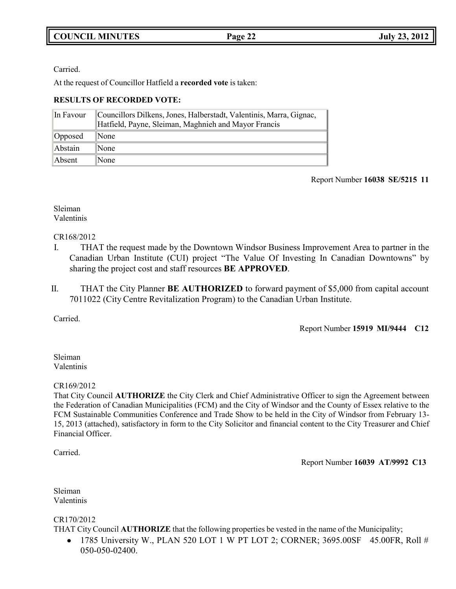Carried.

At the request of Councillor Hatfield a **recorded vote** is taken:

# **RESULTS OF RECORDED VOTE:**

| In Favour | Councillors Dilkens, Jones, Halberstadt, Valentinis, Marra, Gignac, Hatfield, Payne, Sleiman, Maghnieh and Mayor Francis |
|-----------|--------------------------------------------------------------------------------------------------------------------------|
| Opposed   | $\mathbb{N}$ one                                                                                                         |
| Abstain   | $\mathbb{N}$ one                                                                                                         |
| Absent    | $\mathbb{N}$ one                                                                                                         |

# Report Number **16038 SE/5215 11**

# Sleiman Valentinis

CR168/2012

- I. THAT the request made by the Downtown Windsor Business Improvement Area to partner in the Canadian Urban Institute (CUI) project "The Value Of Investing In Canadian Downtowns" by sharing the project cost and staff resources **BE APPROVED**.
- II. THAT the City Planner **BE AUTHORIZED** to forward payment of \$5,000 from capital account 7011022 (City Centre Revitalization Program) to the Canadian Urban Institute.

Carried.

Report Number **15919 MI/9444 C12**

# Sleiman Valentinis

# CR169/2012

That City Council **AUTHORIZE** the City Clerk and Chief Administrative Officer to sign the Agreement between the Federation of Canadian Municipalities (FCM) and the City of Windsor and the County of Essex relative to the FCM Sustainable Communities Conference and Trade Show to be held in the City of Windsor from February 13- 15, 2013 (attached), satisfactory in form to the City Solicitor and financial content to the City Treasurer and Chief Financial Officer.

Carried.

Report Number **16039 AT/9992 C13**

Sleiman Valentinis

CR170/2012

THAT City Council **AUTHORIZE** that the following properties be vested in the name of the Municipality;

 1785 University W., PLAN 520 LOT 1 W PT LOT 2; CORNER; 3695.00SF 45.00FR, Roll #  $\bullet$ 050-050-02400.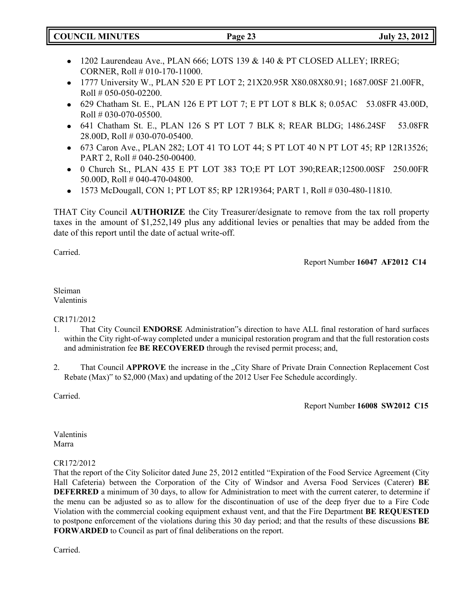| <b>COUNCIL MINUTES</b> | Page 23 | <b>July 23, 2012</b> |
|------------------------|---------|----------------------|
|                        |         |                      |

- 1202 Laurendeau Ave., PLAN 666; LOTS 139 & 140 & PT CLOSED ALLEY; IRREG; CORNER, Roll # 010-170-11000.
- 1777 University W., PLAN 520 E PT LOT 2; 21X20.95R X80.08X80.91; 1687.00SF 21.00FR, Roll # 050-050-02200.
- 629 Chatham St. E., PLAN 126 E PT LOT 7; E PT LOT 8 BLK 8; 0.05AC 53.08FR 43.00D,  $Roll # 030-070-05500.$
- 641 Chatham St. E., PLAN 126 S PT LOT 7 BLK 8; REAR BLDG; 1486.24SF 53.08FR 28.00D, Roll # 030-070-05400.
- 673 Caron Ave., PLAN 282; LOT 41 TO LOT 44; S PT LOT 40 N PT LOT 45; RP 12R13526; PART 2, Roll # 040-250-00400.
- 0 Church St., PLAN 435 E PT LOT 383 TO;E PT LOT 390;REAR;12500.00SF 250.00FR 50.00D, Roll # 040-470-04800.
- 1573 McDougall, CON 1; PT LOT 85; RP 12R19364; PART 1, Roll # 030-480-11810.

THAT City Council **AUTHORIZE** the City Treasurer/designate to remove from the tax roll property taxes in the amount of \$1,252,149 plus any additional levies or penalties that may be added from the date of this report until the date of actual write-off.

Carried.

Report Number **16047 AF2012 C14**

Sleiman Valentinis

# CR171/2012

- 1. That City Council **ENDORSE** Administration"s direction to have ALL final restoration of hard surfaces within the City right-of-way completed under a municipal restoration program and that the full restoration costs and administration fee **BE RECOVERED** through the revised permit process; and,
- 2. That Council **APPROVE** the increase in the "City Share of Private Drain Connection Replacement Cost Rebate (Max)" to \$2,000 (Max) and updating of the 2012 User Fee Schedule accordingly.

Carried.

Report Number **16008 SW2012 C15**

Valentinis Marra

# CR172/2012

That the report of the City Solicitor dated June 25, 2012 entitled "Expiration of the Food Service Agreement (City Hall Cafeteria) between the Corporation of the City of Windsor and Aversa Food Services (Caterer) **BE DEFERRED** a minimum of 30 days, to allow for Administration to meet with the current caterer, to determine if the menu can be adjusted so as to allow for the discontinuation of use of the deep fryer due to a Fire Code Violation with the commercial cooking equipment exhaust vent, and that the Fire Department **BE REQUESTED** to postpone enforcement of the violations during this 30 day period; and that the results of these discussions **BE FORWARDED** to Council as part of final deliberations on the report.

Carried.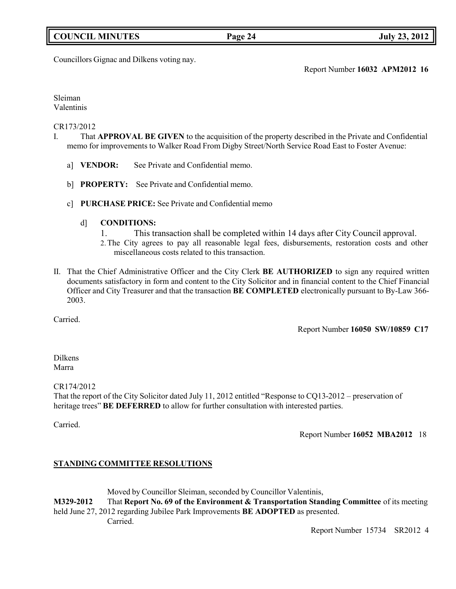# **COUNCIL MINUTES Page 24 July 23, 2012**

# Councillors Gignac and Dilkens voting nay.

# Report Number **16032 APM2012 16**

Sleiman Valentinis

## CR173/2012

- I. That **APPROVAL BE GIVEN** to the acquisition of the property described in the Private and Confidential memo for improvements to Walker Road From Digby Street/North Service Road East to Foster Avenue:
	- a] **VENDOR:** See Private and Confidential memo.
	- b] **PROPERTY:** See Private and Confidential memo.
	- c] **PURCHASE PRICE:** See Private and Confidential memo
		- d] **CONDITIONS:**
			- 1. This transaction shall be completed within 14 days after City Council approval.
			- 2.The City agrees to pay all reasonable legal fees, disbursements, restoration costs and other miscellaneous costs related to this transaction.
- II. That the Chief Administrative Officer and the City Clerk **BE AUTHORIZED** to sign any required written documents satisfactory in form and content to the City Solicitor and in financial content to the Chief Financial Officer and City Treasurer and that the transaction **BE COMPLETED** electronically pursuant to By-Law 366- 2003.

Carried.

Report Number **16050 SW/10859 C17**

Dilkens Marra

CR174/2012

That the report of the City Solicitor dated July 11, 2012 entitled "Response to CQ13-2012 – preservation of heritage trees" **BE DEFERRED** to allow for further consultation with interested parties.

Carried.

Report Number **16052 MBA2012** 18

# **STANDING COMMITTEE RESOLUTIONS**

Moved by Councillor Sleiman, seconded by Councillor Valentinis,

**M329-2012** That **Report No. 69 of the Environment & Transportation Standing Committee** of its meeting held June 27, 2012 regarding Jubilee Park Improvements **BE ADOPTED** as presented.

Carried.

Report Number 15734 SR2012 4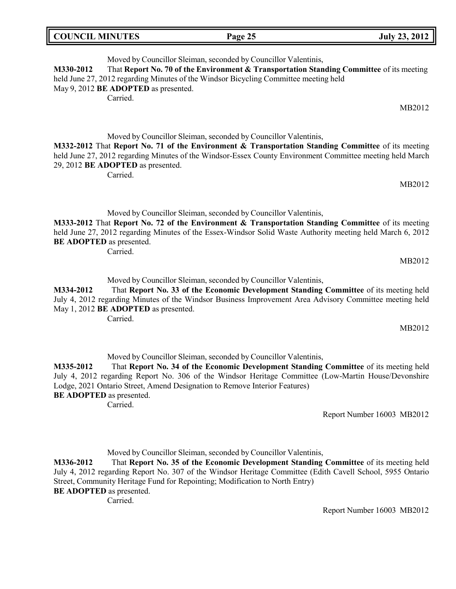| <b>COUNCIL MINUTES</b> | Page 25 | <b>July 23, 2012</b> |
|------------------------|---------|----------------------|
|                        |         |                      |

Moved by Councillor Sleiman, seconded by Councillor Valentinis, **M330-2012** That **Report No. 70 of the Environment & Transportation Standing Committee** of its meeting held June 27, 2012 regarding Minutes of the Windsor Bicycling Committee meeting held May 9, 2012 **BE ADOPTED** as presented. Carried.

MB2012

MB2012

Moved by Councillor Sleiman, seconded by Councillor Valentinis,

**M332-2012** That **Report No. 71 of the Environment & Transportation Standing Committee** of its meeting held June 27, 2012 regarding Minutes of the Windsor-Essex County Environment Committee meeting held March 29, 2012 **BE ADOPTED** as presented.

Carried.

Moved by Councillor Sleiman, seconded by Councillor Valentinis,

**M333-2012** That **Report No. 72 of the Environment & Transportation Standing Committee** of its meeting held June 27, 2012 regarding Minutes of the Essex-Windsor Solid Waste Authority meeting held March 6, 2012 **BE ADOPTED** as presented.

Carried.

MB2012

Moved by Councillor Sleiman, seconded by Councillor Valentinis,

**M334-2012** That **Report No. 33 of the Economic Development Standing Committee** of its meeting held July 4, 2012 regarding Minutes of the Windsor Business Improvement Area Advisory Committee meeting held May 1, 2012 **BE ADOPTED** as presented.

Carried.

MB2012

Moved by Councillor Sleiman, seconded by Councillor Valentinis,

**M335-2012** That **Report No. 34 of the Economic Development Standing Committee** of its meeting held July 4, 2012 regarding Report No. 306 of the Windsor Heritage Committee (Low-Martin House/Devonshire Lodge, 2021 Ontario Street, Amend Designation to Remove Interior Features) **BE ADOPTED** as presented.

Carried.

Report Number 16003 MB2012

Moved by Councillor Sleiman, seconded by Councillor Valentinis,

**M336-2012** That **Report No. 35 of the Economic Development Standing Committee** of its meeting held July 4, 2012 regarding Report No. 307 of the Windsor Heritage Committee (Edith Cavell School, 5955 Ontario Street, Community Heritage Fund for Repointing; Modification to North Entry) **BE ADOPTED** as presented.

Carried.

Report Number 16003 MB2012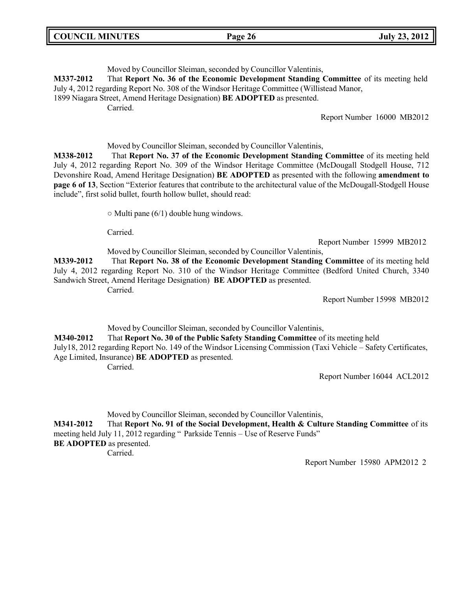| <b>COUNCIL MINUTES</b> | <b>July 23, 2012</b><br>Page 26 |
|------------------------|---------------------------------|
|------------------------|---------------------------------|

Moved by Councillor Sleiman, seconded by Councillor Valentinis, **M337-2012** That **Report No. 36 of the Economic Development Standing Committee** of its meeting held July 4, 2012 regarding Report No. 308 of the Windsor Heritage Committee (Willistead Manor, 1899 Niagara Street, Amend Heritage Designation) **BE ADOPTED** as presented. Carried. Report Number 16000 MB2012 Moved by Councillor Sleiman, seconded by Councillor Valentinis, **M338-2012** That **Report No. 37 of the Economic Development Standing Committee** of its meeting held July 4, 2012 regarding Report No. 309 of the Windsor Heritage Committee (McDougall Stodgell House, 712 Devonshire Road, Amend Heritage Designation) **BE ADOPTED** as presented with the following **amendment to page 6 of 13**, Section "Exterior features that contribute to the architectural value of the McDougall-Stodgell House include", first solid bullet, fourth hollow bullet, should read:

 $\circ$  Multi pane (6/1) double hung windows.

Carried.

Report Number 15999 MB2012

Moved by Councillor Sleiman, seconded by Councillor Valentinis, **M339-2012** That **Report No. 38 of the Economic Development Standing Committee** of its meeting held July 4, 2012 regarding Report No. 310 of the Windsor Heritage Committee (Bedford United Church, 3340 Sandwich Street, Amend Heritage Designation) **BE ADOPTED** as presented.

Carried.

Report Number 15998 MB2012

Moved by Councillor Sleiman, seconded by Councillor Valentinis,

**M340-2012** That **Report No. 30 of the Public Safety Standing Committee** of its meeting held July18, 2012 regarding Report No. 149 of the Windsor Licensing Commission (Taxi Vehicle – Safety Certificates, Age Limited, Insurance) **BE ADOPTED** as presented.

Carried.

Report Number 16044 ACL2012

Moved by Councillor Sleiman, seconded by Councillor Valentinis,

**M341-2012** That **Report No. 91 of the Social Development, Health & Culture Standing Committee** of its meeting held July 11, 2012 regarding " Parkside Tennis – Use of Reserve Funds" **BE ADOPTED** as presented.

Carried.

Report Number 15980 APM2012 2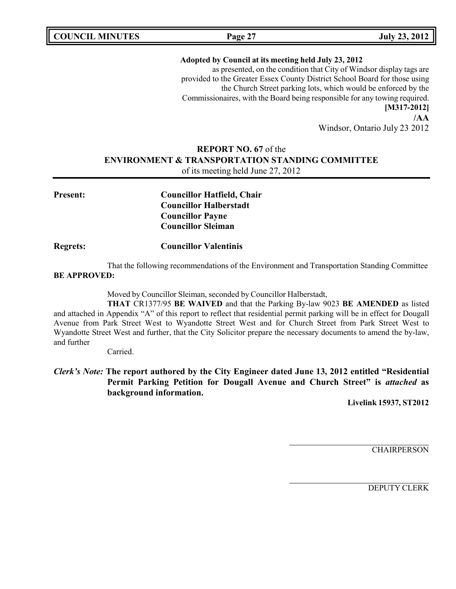**COUNCIL MINUTES Page 27 July 23, 2012**

## **Adopted by Council at its meeting held July 23, 2012**

as presented, on the condition that City of Windsor display tags are provided to the Greater Essex County District School Board for those using the Church Street parking lots, which would be enforced by the Commissionaires, with the Board being responsible for any towing required. **[M317-2012] /AA**

Windsor, Ontario July 23 2012

# **REPORT NO. 67** of the **ENVIRONMENT & TRANSPORTATION STANDING COMMITTEE**

of its meeting held June 27, 2012

**Present: Councillor Hatfield, Chair Councillor Halberstadt Councillor Payne Councillor Sleiman**

**Regrets: Councillor Valentinis**

That the following recommendations of the Environment and Transportation Standing Committee **BE APPROVED:**

Moved by Councillor Sleiman, seconded by Councillor Halberstadt,

**THAT** CR1377/95 **BE WAIVED** and that the Parking By-law 9023 **BE AMENDED** as listed and attached in Appendix "A" of this report to reflect that residential permit parking will be in effect for Dougall Avenue from Park Street West to Wyandotte Street West and for Church Street from Park Street West to Wyandotte Street West and further, that the City Solicitor prepare the necessary documents to amend the by-law, and further

Carried.

*Clerk's Note:* **The report authored by the City Engineer dated June 13, 2012 entitled "Residential Permit Parking Petition for Dougall Avenue and Church Street" is** *attached* **as background information.**

**Livelink 15937, ST2012**

**CHAIRPERSON**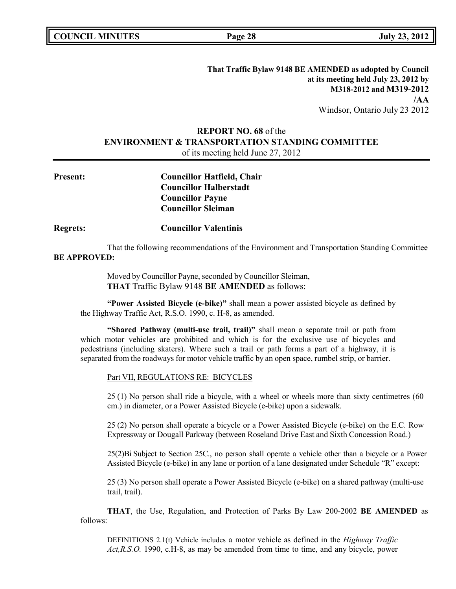**That Traffic Bylaw 9148 BE AMENDED as adopted by Council at its meeting held July 23, 2012 by M318-2012 and M319-2012 /AA** Windsor, Ontario July 23 2012

# **REPORT NO. 68** of the **ENVIRONMENT & TRANSPORTATION STANDING COMMITTEE** of its meeting held June 27, 2012

| <b>Present:</b> | <b>Councillor Hatfield, Chair</b> |
|-----------------|-----------------------------------|
|                 | <b>Councillor Halberstadt</b>     |
|                 | <b>Councillor Payne</b>           |
|                 | <b>Councillor Sleiman</b>         |

## **Regrets: Councillor Valentinis**

That the following recommendations of the Environment and Transportation Standing Committee **BE APPROVED:**

> Moved by Councillor Payne, seconded by Councillor Sleiman, **THAT** Traffic Bylaw 9148 **BE AMENDED** as follows:

**"Power Assisted Bicycle (e-bike)"** shall mean a power assisted bicycle as defined by the Highway Traffic Act, R.S.O. 1990, c. H-8, as amended.

**"Shared Pathway (multi-use trail, trail)"** shall mean a separate trail or path from which motor vehicles are prohibited and which is for the exclusive use of bicycles and pedestrians (including skaters). Where such a trail or path forms a part of a highway, it is separated from the roadways for motor vehicle traffic by an open space, rumbel strip, or barrier.

### Part VII, REGULATIONS RE: BICYCLES

25 (1) No person shall ride a bicycle, with a wheel or wheels more than sixty centimetres (60 cm.) in diameter, or a Power Assisted Bicycle (e-bike) upon a sidewalk.

25 (2) No person shall operate a bicycle or a Power Assisted Bicycle (e-bike) on the E.C. Row Expressway or Dougall Parkway (between Roseland Drive East and Sixth Concession Road.)

25(2)Bi Subject to Section 25C., no person shall operate a vehicle other than a bicycle or a Power Assisted Bicycle (e-bike) in any lane or portion of a lane designated under Schedule "R" except:

25 (3) No person shall operate a Power Assisted Bicycle (e-bike) on a shared pathway (multi-use trail, trail).

**THAT**, the Use, Regulation, and Protection of Parks By Law 200-2002 **BE AMENDED** as follows:

DEFINITIONS 2.1(t) Vehicle includes a motor vehicle as defined in the *Highway Traffic Act,R.S.O.* 1990, c.H-8, as may be amended from time to time, and any bicycle, power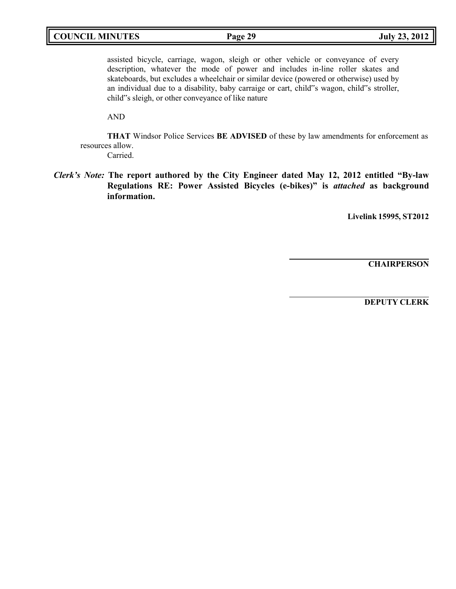# **COUNCIL MINUTES Page 29 July 23, 2012**

assisted bicycle, carriage, wagon, sleigh or other vehicle or conveyance of every description, whatever the mode of power and includes in-line roller skates and skateboards, but excludes a wheelchair or similar device (powered or otherwise) used by an individual due to a disability, baby carraige or cart, child"s wagon, child"s stroller, child"s sleigh, or other conveyance of like nature

AND

**THAT** Windsor Police Services **BE ADVISED** of these by law amendments for enforcement as resources allow.

Carried.

*Clerk's Note:* **The report authored by the City Engineer dated May 12, 2012 entitled "By-law Regulations RE: Power Assisted Bicycles (e-bikes)" is** *attached* **as background information.**

**Livelink 15995, ST2012**

**CHAIRPERSON**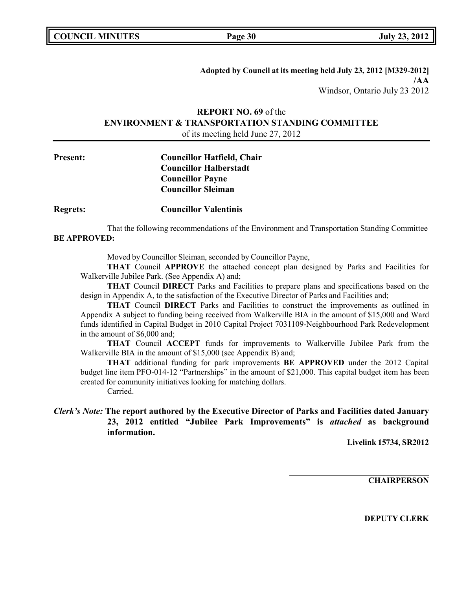**Adopted by Council at its meeting held July 23, 2012 [M329-2012] /AA** Windsor, Ontario July 23 2012

# **REPORT NO. 69** of the **ENVIRONMENT & TRANSPORTATION STANDING COMMITTEE** of its meeting held June 27, 2012

**Present: Councillor Hatfield, Chair Councillor Halberstadt Councillor Payne Councillor Sleiman**

**Regrets: Councillor Valentinis**

That the following recommendations of the Environment and Transportation Standing Committee **BE APPROVED:**

Moved by Councillor Sleiman, seconded by Councillor Payne,

**THAT** Council **APPROVE** the attached concept plan designed by Parks and Facilities for Walkerville Jubilee Park. (See Appendix A) and;

**THAT** Council **DIRECT** Parks and Facilities to prepare plans and specifications based on the design in Appendix A, to the satisfaction of the Executive Director of Parks and Facilities and;

**THAT** Council **DIRECT** Parks and Facilities to construct the improvements as outlined in Appendix A subject to funding being received from Walkerville BIA in the amount of \$15,000 and Ward funds identified in Capital Budget in 2010 Capital Project 7031109-Neighbourhood Park Redevelopment in the amount of \$6,000 and;

**THAT** Council **ACCEPT** funds for improvements to Walkerville Jubilee Park from the Walkerville BIA in the amount of \$15,000 (see Appendix B) and;

**THAT** additional funding for park improvements **BE APPROVED** under the 2012 Capital budget line item PFO-014-12 "Partnerships" in the amount of \$21,000. This capital budget item has been created for community initiatives looking for matching dollars.

Carried.

# *Clerk's Note:* **The report authored by the Executive Director of Parks and Facilities dated January 23, 2012 entitled "Jubilee Park Improvements" is** *attached* **as background information.**

**Livelink 15734, SR2012**

**CHAIRPERSON**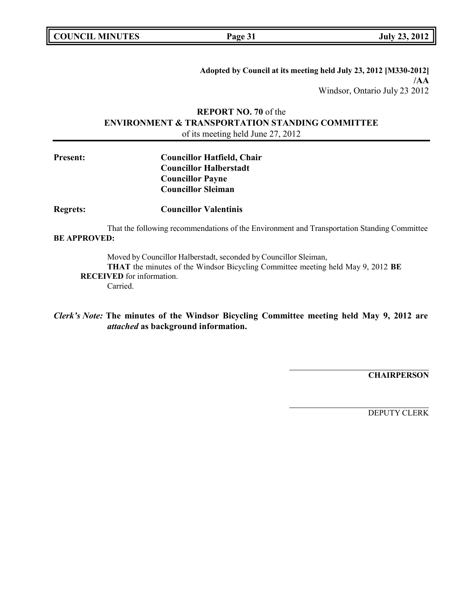**COUNCIL MINUTES Page 31 July 23, 2012**

**Adopted by Council at its meeting held July 23, 2012 [M330-2012] /AA** Windsor, Ontario July 23 2012

# **REPORT NO. 70** of the **ENVIRONMENT & TRANSPORTATION STANDING COMMITTEE** of its meeting held June 27, 2012

| <b>Present:</b> | <b>Councillor Hatfield, Chair</b> |
|-----------------|-----------------------------------|
|                 | <b>Councillor Halberstadt</b>     |
|                 | <b>Councillor Payne</b>           |
|                 | <b>Councillor Sleiman</b>         |

**Regrets: Councillor Valentinis**

That the following recommendations of the Environment and Transportation Standing Committee **BE APPROVED:**

Moved by Councillor Halberstadt, seconded by Councillor Sleiman, **THAT** the minutes of the Windsor Bicycling Committee meeting held May 9, 2012 **BE RECEIVED** for information. Carried.

*Clerk's Note:* **The minutes of the Windsor Bicycling Committee meeting held May 9, 2012 are** *attached* **as background information.**

**CHAIRPERSON**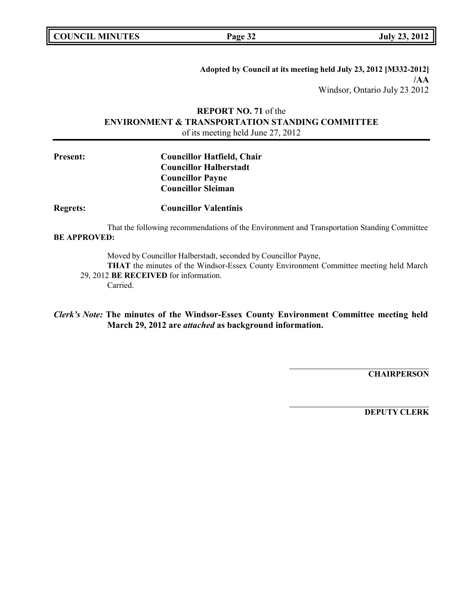**Adopted by Council at its meeting held July 23, 2012 [M332-2012] /AA** Windsor, Ontario July 23 2012

# **REPORT NO. 71** of the **ENVIRONMENT & TRANSPORTATION STANDING COMMITTEE** of its meeting held June 27, 2012

# **Present: Councillor Hatfield, Chair Councillor Halberstadt Councillor Payne Councillor Sleiman**

**Regrets: Councillor Valentinis**

That the following recommendations of the Environment and Transportation Standing Committee **BE APPROVED:**

Moved by Councillor Halberstadt, seconded by Councillor Payne,

**THAT** the minutes of the Windsor-Essex County Environment Committee meeting held March 29, 2012 **BE RECEIVED** for information. Carried.

*Clerk's Note:* **The minutes of the Windsor-Essex County Environment Committee meeting held March 29, 2012 are** *attached* **as background information.**

**CHAIRPERSON**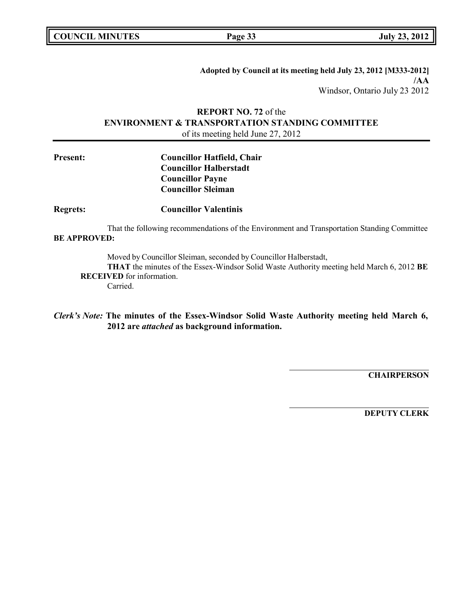**COUNCIL MINUTES Page 33 July 23, 2012**

**Adopted by Council at its meeting held July 23, 2012 [M333-2012] /AA** Windsor, Ontario July 23 2012

# **REPORT NO. 72** of the **ENVIRONMENT & TRANSPORTATION STANDING COMMITTEE** of its meeting held June 27, 2012

| <b>Councillor Hatfield, Chair</b> |
|-----------------------------------|
| <b>Councillor Halberstadt</b>     |
| <b>Councillor Payne</b>           |
| <b>Councillor Sleiman</b>         |
|                                   |

**Regrets: Councillor Valentinis**

That the following recommendations of the Environment and Transportation Standing Committee **BE APPROVED:**

Moved by Councillor Sleiman, seconded by Councillor Halberstadt,

**THAT** the minutes of the Essex-Windsor Solid Waste Authority meeting held March 6, 2012 **BE RECEIVED** for information. Carried.

*Clerk's Note:* **The minutes of the Essex-Windsor Solid Waste Authority meeting held March 6, 2012 are** *attached* **as background information.**

**CHAIRPERSON**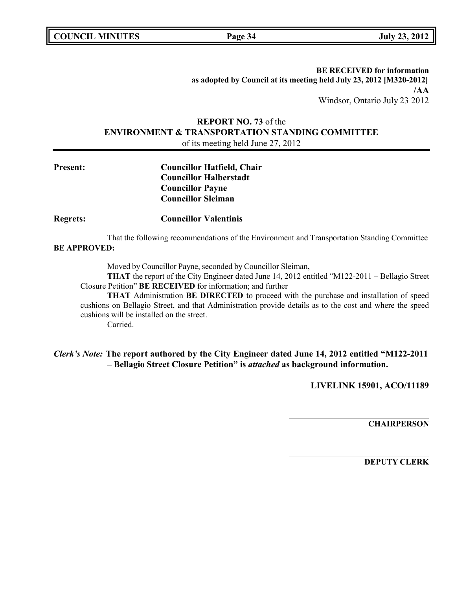**COUNCIL MINUTES Page 34 July 23, 2012**

**BE RECEIVED for information as adopted by Council at its meeting held July 23, 2012 [M320-2012] /AA** Windsor, Ontario July 23 2012

# **REPORT NO. 73** of the **ENVIRONMENT & TRANSPORTATION STANDING COMMITTEE** of its meeting held June 27, 2012

**Present: Councillor Hatfield, Chair Councillor Halberstadt Councillor Payne Councillor Sleiman**

# **Regrets: Councillor Valentinis**

That the following recommendations of the Environment and Transportation Standing Committee **BE APPROVED:**

Moved by Councillor Payne, seconded by Councillor Sleiman,

**THAT** the report of the City Engineer dated June 14, 2012 entitled "M122-2011 – Bellagio Street Closure Petition" **BE RECEIVED** for information; and further

**THAT** Administration **BE DIRECTED** to proceed with the purchase and installation of speed cushions on Bellagio Street, and that Administration provide details as to the cost and where the speed cushions will be installed on the street.

Carried.

# *Clerk's Note:* **The report authored by the City Engineer dated June 14, 2012 entitled "M122-2011 – Bellagio Street Closure Petition" is** *attached* **as background information.**

**LIVELINK 15901, ACO/11189**

**CHAIRPERSON**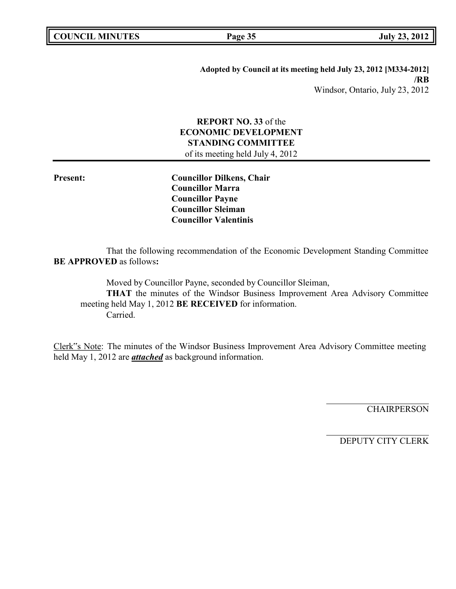| <b>COUNCIL MINUTES</b> |  |
|------------------------|--|
|------------------------|--|

**COUNCIL EXECUTE: COUNCIL EXECUTE: Page 35 July 23, 2012** 

**Adopted by Council at its meeting held July 23, 2012 [M334-2012] /RB** Windsor, Ontario, July 23, 2012

# **REPORT NO. 33** of the **ECONOMIC DEVELOPMENT STANDING COMMITTEE**

of its meeting held July 4, 2012

**Present: Councillor Dilkens, Chair Councillor Marra Councillor Payne Councillor Sleiman Councillor Valentinis**

That the following recommendation of the Economic Development Standing Committee **BE APPROVED** as follows**:**

Moved by Councillor Payne, seconded by Councillor Sleiman, **THAT** the minutes of the Windsor Business Improvement Area Advisory Committee meeting held May 1, 2012 **BE RECEIVED** for information. Carried.

Clerk"s Note: The minutes of the Windsor Business Improvement Area Advisory Committee meeting held May 1, 2012 are *attached* as background information.

**CHAIRPERSON**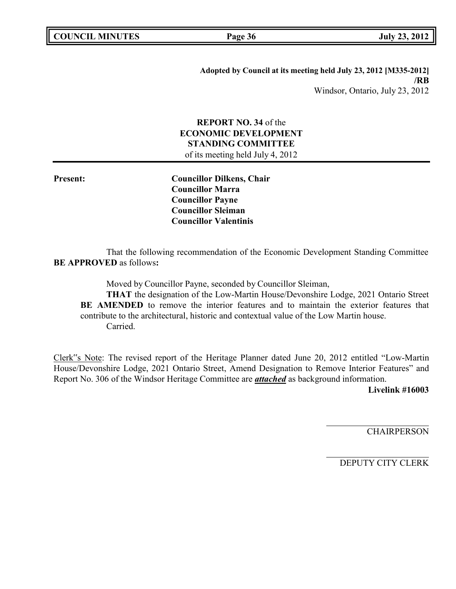| <b>COUNCIL MINUTES</b> |  |
|------------------------|--|
|------------------------|--|

**COUNCIL EXECUTE:** Fig. 2012<br>**Page** 36 **July** 23, 2012

**Adopted by Council at its meeting held July 23, 2012 [M335-2012] /RB** Windsor, Ontario, July 23, 2012

# **REPORT NO. 34** of the **ECONOMIC DEVELOPMENT STANDING COMMITTEE** of its meeting held July 4, 2012

**Present: Councillor Dilkens, Chair Councillor Marra Councillor Payne Councillor Sleiman Councillor Valentinis**

That the following recommendation of the Economic Development Standing Committee **BE APPROVED** as follows**:**

Moved by Councillor Payne, seconded by Councillor Sleiman, **THAT** the designation of the Low-Martin House/Devonshire Lodge, 2021 Ontario Street **BE AMENDED** to remove the interior features and to maintain the exterior features that contribute to the architectural, historic and contextual value of the Low Martin house. Carried.

Clerk"s Note: The revised report of the Heritage Planner dated June 20, 2012 entitled "Low-Martin House/Devonshire Lodge, 2021 Ontario Street, Amend Designation to Remove Interior Features" and Report No. 306 of the Windsor Heritage Committee are *attached* as background information.

**Livelink #16003**

**CHAIRPERSON**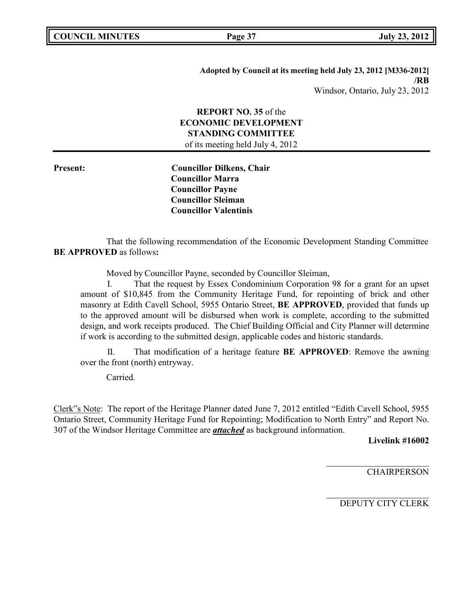**Adopted by Council at its meeting held July 23, 2012 [M336-2012] /RB** Windsor, Ontario, July 23, 2012

# **REPORT NO. 35** of the **ECONOMIC DEVELOPMENT STANDING COMMITTEE** of its meeting held July 4, 2012

**Present: Councillor Dilkens, Chair Councillor Marra Councillor Payne Councillor Sleiman Councillor Valentinis**

That the following recommendation of the Economic Development Standing Committee **BE APPROVED** as follows**:**

Moved by Councillor Payne, seconded by Councillor Sleiman,

I. That the request by Essex Condominium Corporation 98 for a grant for an upset amount of \$10,845 from the Community Heritage Fund, for repointing of brick and other masonry at Edith Cavell School, 5955 Ontario Street, **BE APPROVED**, provided that funds up to the approved amount will be disbursed when work is complete, according to the submitted design, and work receipts produced. The Chief Building Official and City Planner will determine if work is according to the submitted design, applicable codes and historic standards.

II. That modification of a heritage feature **BE APPROVED**: Remove the awning over the front (north) entryway.

Carried.

Clerk"s Note: The report of the Heritage Planner dated June 7, 2012 entitled "Edith Cavell School, 5955 Ontario Street, Community Heritage Fund for Repointing; Modification to North Entry" and Report No. 307 of the Windsor Heritage Committee are *attached* as background information.

**Livelink #16002**

**CHAIRPERSON**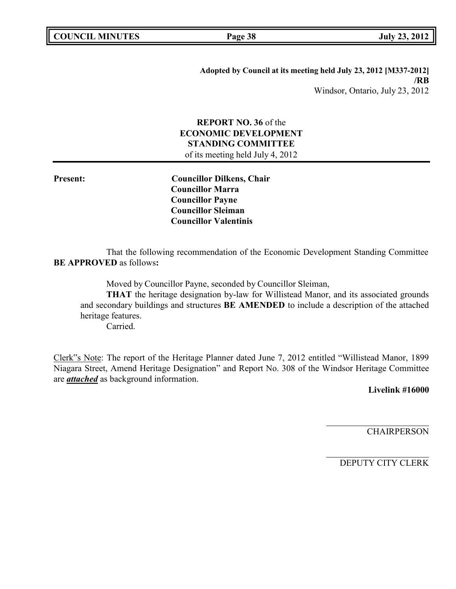|  | <b>COUNCIL MINUTES</b> |
|--|------------------------|
|--|------------------------|

**COUNCIL EXECUTE:** FOR THE **PAGE 38 DUE 23, 2012** 

**Adopted by Council at its meeting held July 23, 2012 [M337-2012] /RB** Windsor, Ontario, July 23, 2012

# **REPORT NO. 36** of the **ECONOMIC DEVELOPMENT STANDING COMMITTEE** of its meeting held July 4, 2012

**Present: Councillor Dilkens, Chair Councillor Marra Councillor Payne Councillor Sleiman Councillor Valentinis**

That the following recommendation of the Economic Development Standing Committee **BE APPROVED** as follows**:**

Moved by Councillor Payne, seconded by Councillor Sleiman,

**THAT** the heritage designation by-law for Willistead Manor, and its associated grounds and secondary buildings and structures **BE AMENDED** to include a description of the attached heritage features.

Carried.

Clerk"s Note: The report of the Heritage Planner dated June 7, 2012 entitled "Willistead Manor, 1899 Niagara Street, Amend Heritage Designation" and Report No. 308 of the Windsor Heritage Committee are *attached* as background information.

**Livelink #16000**

**CHAIRPERSON**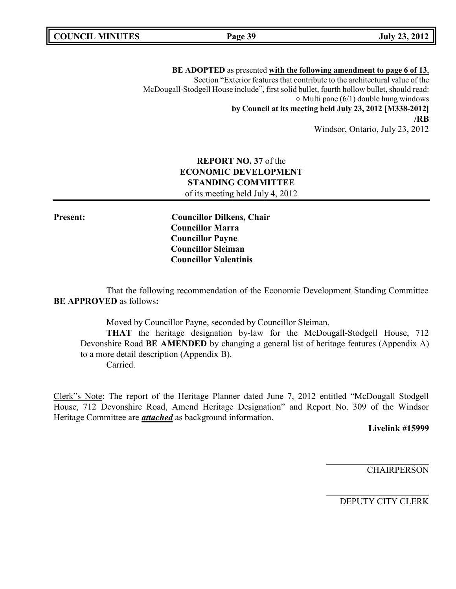**BE ADOPTED** as presented **with the following amendment to page 6 of 13**, Section "Exterior features that contribute to the architectural value of the McDougall-Stodgell House include", first solid bullet, fourth hollow bullet, should read:  $\circ$  Multi pane (6/1) double hung windows **by Council at its meeting held July 23, 2012** [**M338-2012] /RB** Windsor, Ontario, July 23, 2012

# **REPORT NO. 37** of the **ECONOMIC DEVELOPMENT STANDING COMMITTEE** of its meeting held July 4, 2012

**Present: Councillor Dilkens, Chair Councillor Marra Councillor Payne Councillor Sleiman Councillor Valentinis**

That the following recommendation of the Economic Development Standing Committee **BE APPROVED** as follows**:**

Moved by Councillor Payne, seconded by Councillor Sleiman,

**THAT** the heritage designation by-law for the McDougall-Stodgell House, 712 Devonshire Road **BE AMENDED** by changing a general list of heritage features (Appendix A) to a more detail description (Appendix B). Carried.

Clerk"s Note: The report of the Heritage Planner dated June 7, 2012 entitled "McDougall Stodgell House, 712 Devonshire Road, Amend Heritage Designation" and Report No. 309 of the Windsor Heritage Committee are *attached* as background information.

**Livelink #15999**

**CHAIRPERSON**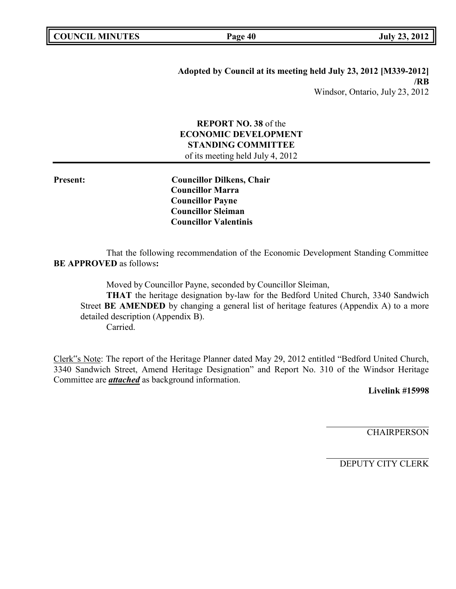|  | <b>COUNCIL MINUTES</b> |
|--|------------------------|
|--|------------------------|

**COUNCIL EXECUTE:** Fig. 2012<br> **COUNCIL COUNCIL COUNCIL COUNCIL COUNCIL COUNCIL COUNCIL COUNCIL COUNCIL COUNCIL COUNCIL** 

**Adopted by Council at its meeting held July 23, 2012 [M339-2012] /RB** Windsor, Ontario, July 23, 2012

# **REPORT NO. 38** of the **ECONOMIC DEVELOPMENT STANDING COMMITTEE**

of its meeting held July 4, 2012

**Present: Councillor Dilkens, Chair Councillor Marra Councillor Payne Councillor Sleiman Councillor Valentinis**

That the following recommendation of the Economic Development Standing Committee **BE APPROVED** as follows**:**

Moved by Councillor Payne, seconded by Councillor Sleiman,

**THAT** the heritage designation by-law for the Bedford United Church, 3340 Sandwich Street **BE AMENDED** by changing a general list of heritage features (Appendix A) to a more detailed description (Appendix B).

Carried.

Clerk"s Note: The report of the Heritage Planner dated May 29, 2012 entitled "Bedford United Church, 3340 Sandwich Street, Amend Heritage Designation" and Report No. 310 of the Windsor Heritage Committee are *attached* as background information.

**Livelink #15998**

**CHAIRPERSON**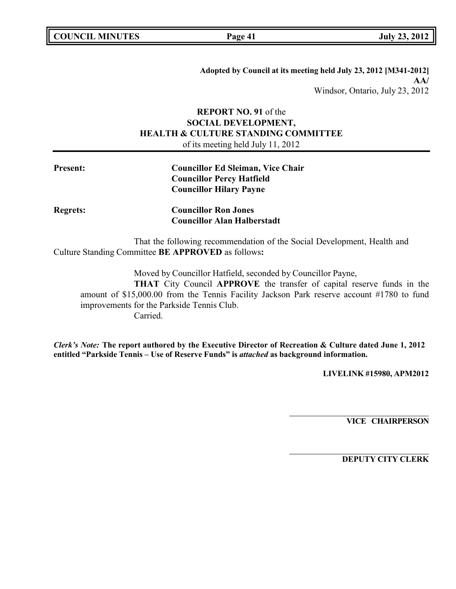**Adopted by Council at its meeting held July 23, 2012 [M341-2012] AA/** Windsor, Ontario, July 23, 2012

# **REPORT NO. 91** of the **SOCIAL DEVELOPMENT, HEALTH & CULTURE STANDING COMMITTEE** of its meeting held July 11, 2012

| <b>Councillor Ed Sleiman, Vice Chair</b> |
|------------------------------------------|
| <b>Councillor Percy Hatfield</b>         |
| <b>Councillor Hilary Payne</b>           |
| <b>Councillor Ron Jones</b>              |
| <b>Councillor Alan Halberstadt</b>       |
|                                          |

That the following recommendation of the Social Development, Health and Culture Standing Committee **BE APPROVED** as follows**:**

Moved by Councillor Hatfield, seconded by Councillor Payne, **THAT** City Council **APPROVE** the transfer of capital reserve funds in the amount of \$15,000.00 from the Tennis Facility Jackson Park reserve account #1780 to fund improvements for the Parkside Tennis Club. Carried.

*Clerk's Note:* **The report authored by the Executive Director of Recreation & Culture dated June 1, 2012 entitled "Parkside Tennis – Use of Reserve Funds" is** *attached* **as background information.**

**LIVELINK #15980, APM2012**

**VICE CHAIRPERSON**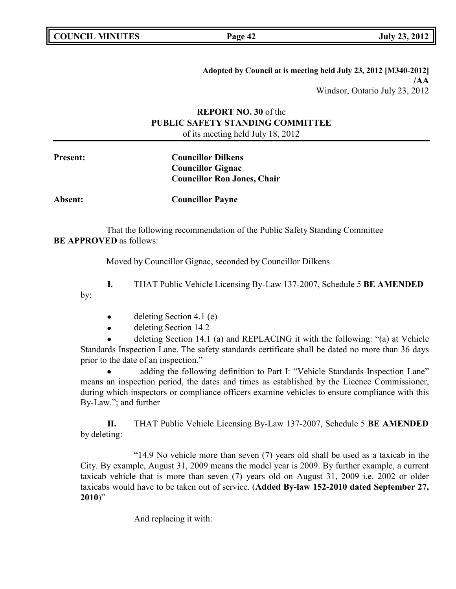by:

**Adopted by Council at is meeting held July 23, 2012 [M340-2012] /AA** Windsor, Ontario July 23, 2012

# **REPORT NO. 30** of the **PUBLIC SAFETY STANDING COMMITTEE** of its meeting held July 18, 2012

**Present: Councillor Dilkens Councillor Gignac Councillor Ron Jones, Chair**

**Absent: Councillor Payne**

That the following recommendation of the Public Safety Standing Committee **BE APPROVED** as follows:

Moved by Councillor Gignac, seconded by Councillor Dilkens

**I.** THAT Public Vehicle Licensing By-Law 137-2007, Schedule 5 **BE AMENDED**

- deleting Section 4.1 (e)
- deleting Section 14.2

deleting Section 14.1 (a) and REPLACING it with the following: "(a) at Vehicle Standards Inspection Lane. The safety standards certificate shall be dated no more than 36 days prior to the date of an inspection."

 adding the following definition to Part I: "Vehicle Standards Inspection Lane" means an inspection period, the dates and times as established by the Licence Commissioner, during which inspectors or compliance officers examine vehicles to ensure compliance with this By-Law."; and further

**II.** THAT Public Vehicle Licensing By-Law 137-2007, Schedule 5 **BE AMENDED** by deleting:

"14.9 No vehicle more than seven (7) years old shall be used as a taxicab in the City. By example, August 31, 2009 means the model year is 2009. By further example, a current taxicab vehicle that is more than seven (7) years old on August 31, 2009 i.e. 2002 or older taxicabs would have to be taken out of service. (**Added By-law 152-2010 dated September 27, 2010**)"

And replacing it with: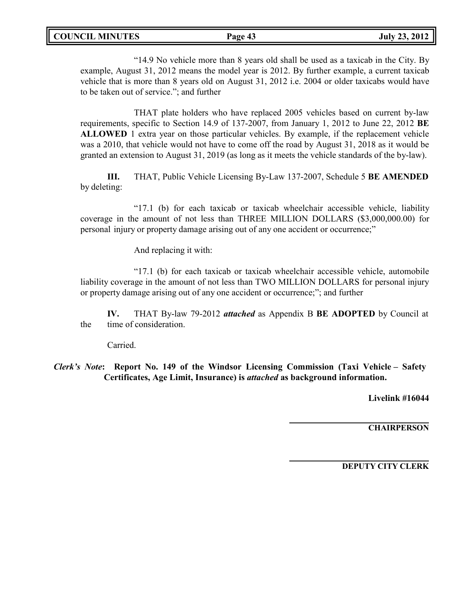"14.9 No vehicle more than 8 years old shall be used as a taxicab in the City. By example, August 31, 2012 means the model year is 2012. By further example, a current taxicab vehicle that is more than 8 years old on August 31, 2012 i.e. 2004 or older taxicabs would have to be taken out of service."; and further

THAT plate holders who have replaced 2005 vehicles based on current by-law requirements, specific to Section 14.9 of 137-2007, from January 1, 2012 to June 22, 2012 **BE ALLOWED** 1 extra year on those particular vehicles. By example, if the replacement vehicle was a 2010, that vehicle would not have to come off the road by August 31, 2018 as it would be granted an extension to August 31, 2019 (as long as it meets the vehicle standards of the by-law).

**III.** THAT, Public Vehicle Licensing By-Law 137-2007, Schedule 5 **BE AMENDED** by deleting:

"17.1 (b) for each taxicab or taxicab wheelchair accessible vehicle, liability coverage in the amount of not less than THREE MILLION DOLLARS (\$3,000,000.00) for personal injury or property damage arising out of any one accident or occurrence;"

And replacing it with:

"17.1 (b) for each taxicab or taxicab wheelchair accessible vehicle, automobile liability coverage in the amount of not less than TWO MILLION DOLLARS for personal injury or property damage arising out of any one accident or occurrence;"; and further

**IV.** THAT By-law 79-2012 *attached* as Appendix B **BE ADOPTED** by Council at the time of consideration.

Carried.

*Clerk's Note***: Report No. 149 of the Windsor Licensing Commission (Taxi Vehicle – Safety Certificates, Age Limit, Insurance) is** *attached* **as background information.**

**Livelink #16044**

**CHAIRPERSON**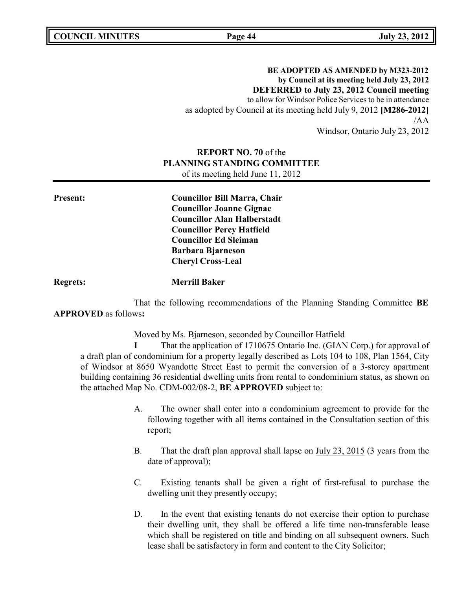**COUNCIL MINUTES Page 44 July 23, 2012**

**BE ADOPTED AS AMENDED by M323-2012 by Council at its meeting held July 23, 2012 DEFERRED to July 23, 2012 Council meeting** to allow for Windsor Police Services to be in attendance as adopted by Council at its meeting held July 9, 2012 **[M286-2012]** /AA Windsor, Ontario July 23, 2012

# **REPORT NO. 70** of the **PLANNING STANDING COMMITTEE** of its meeting held June 11, 2012

**Present: Councillor Bill Marra, Chair Councillor Joanne Gignac Councillor Alan Halberstadt Councillor Percy Hatfield Councillor Ed Sleiman Barbara Bjarneson Cheryl Cross-Leal**

**Regrets: Merrill Baker**

That the following recommendations of the Planning Standing Committee **BE APPROVED** as follows**:**

Moved by Ms. Bjarneson, seconded by Councillor Hatfield

**I** That the application of 1710675 Ontario Inc. (GIAN Corp.) for approval of a draft plan of condominium for a property legally described as Lots 104 to 108, Plan 1564, City of Windsor at 8650 Wyandotte Street East to permit the conversion of a 3-storey apartment building containing 36 residential dwelling units from rental to condominium status, as shown on the attached Map No. CDM-002/08-2, **BE APPROVED** subject to:

- A. The owner shall enter into a condominium agreement to provide for the following together with all items contained in the Consultation section of this report;
- B. That the draft plan approval shall lapse on July 23, 2015 (3 years from the date of approval);
- C. Existing tenants shall be given a right of first-refusal to purchase the dwelling unit they presently occupy;
- D. In the event that existing tenants do not exercise their option to purchase their dwelling unit, they shall be offered a life time non-transferable lease which shall be registered on title and binding on all subsequent owners. Such lease shall be satisfactory in form and content to the City Solicitor;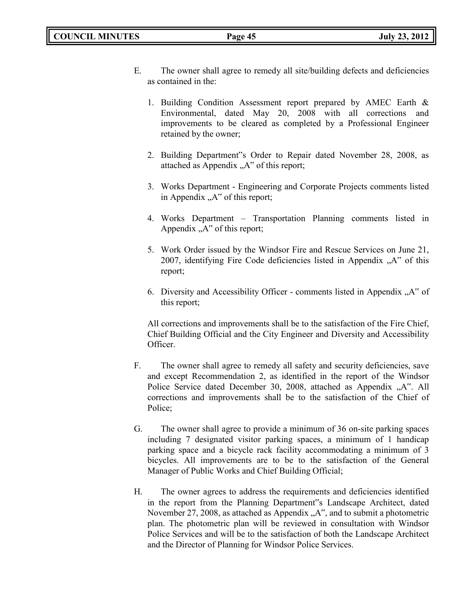- E. The owner shall agree to remedy all site/building defects and deficiencies as contained in the:
	- 1. Building Condition Assessment report prepared by AMEC Earth & Environmental, dated May 20, 2008 with all corrections and improvements to be cleared as completed by a Professional Engineer retained by the owner;
	- 2. Building Department"s Order to Repair dated November 28, 2008, as attached as Appendix  $, A^{\prime\prime}$  of this report;
	- 3. Works Department Engineering and Corporate Projects comments listed in Appendix  $A^{\prime\prime}$  of this report;
	- 4. Works Department Transportation Planning comments listed in Appendix  $, A^{\prime\prime}$  of this report;
	- 5. Work Order issued by the Windsor Fire and Rescue Services on June 21, 2007, identifying Fire Code deficiencies listed in Appendix  $, A$ " of this report;
	- 6. Diversity and Accessibility Officer comments listed in Appendix  $\mathcal{A}^{\prime\prime}$  of this report;

All corrections and improvements shall be to the satisfaction of the Fire Chief, Chief Building Official and the City Engineer and Diversity and Accessibility Officer.

- F. The owner shall agree to remedy all safety and security deficiencies, save and except Recommendation 2, as identified in the report of the Windsor Police Service dated December 30, 2008, attached as Appendix "A". All corrections and improvements shall be to the satisfaction of the Chief of Police;
- G. The owner shall agree to provide a minimum of 36 on-site parking spaces including 7 designated visitor parking spaces, a minimum of 1 handicap parking space and a bicycle rack facility accommodating a minimum of 3 bicycles. All improvements are to be to the satisfaction of the General Manager of Public Works and Chief Building Official;
- H. The owner agrees to address the requirements and deficiencies identified in the report from the Planning Department"s Landscape Architect, dated November 27, 2008, as attached as Appendix  $, A^{\prime\prime}$ , and to submit a photometric plan. The photometric plan will be reviewed in consultation with Windsor Police Services and will be to the satisfaction of both the Landscape Architect and the Director of Planning for Windsor Police Services.